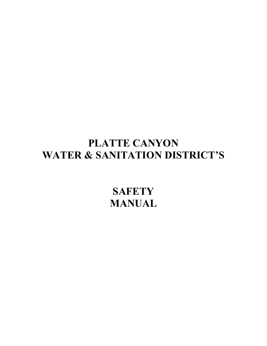# **PLATTE CANYON WATER & SANITATION DISTRICT'S**

**SAFETY MANUAL**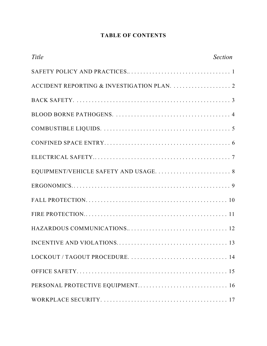# **TABLE OF CONTENTS**

| Title | <b>Section</b> |
|-------|----------------|
|       |                |
|       |                |
|       |                |
|       |                |
|       |                |
|       |                |
|       |                |
|       |                |
|       |                |
|       |                |
|       |                |
|       |                |
|       |                |
|       |                |
|       |                |
|       |                |
|       |                |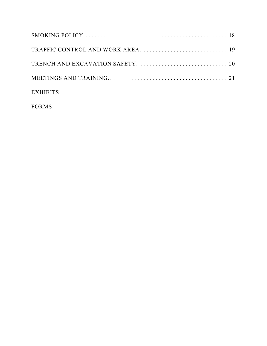| <b>EXHIBITS</b> |  |
|-----------------|--|

FORMS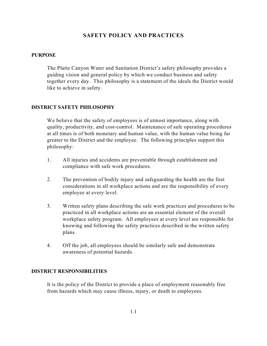## **SAFETY POLICY AND PRACTICES**

#### **PURPOSE**

The Platte Canyon Water and Sanitation District's safety philosophy provides a guiding vision and general policy by which we conduct business and safety together every day. This philosophy is a statement of the ideals the District would like to achieve in safety.

#### **DISTRICT SAFETY PHILOSOPHY**

We believe that the safety of employees is of utmost importance, along with quality, productivity, and cost-control. Maintenance of safe operating procedures at all times is of both monetary and human value, with the human value being far greater to the District and the employee. The following principles support this philosophy:

- 1. All injuries and accidents are preventable through establishment and compliance with safe work procedures.
- 2. The prevention of bodily injury and safeguarding the health are the first considerations in all workplace actions and are the responsibility of every employee at every level.
- 3. Written safety plans describing the safe work practices and procedures to be practiced in all workplace actions are an essential element of the overall workplace safety program. All employees at every level are responsible for knowing and following the safety practices described in the written safety plans.
- 4. Off the job, all employees should be similarly safe and demonstrate awareness of potential hazards.

## **DISTRICT RESPONSIBILITIES**

It is the policy of the District to provide a place of employment reasonably free from hazards which may cause illness, injury, or death to employees.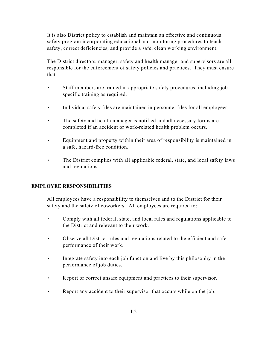It is also District policy to establish and maintain an effective and continuous safety program incorporating educational and monitoring procedures to teach safety, correct deficiencies, and provide a safe, clean working environment.

The District directors, manager, safety and health manager and supervisors are all responsible for the enforcement of safety policies and practices. They must ensure that:

- < Staff members are trained in appropriate safety procedures, including jobspecific training as required.
- < Individual safety files are maintained in personnel files for all employees.
- $\blacktriangleright$  The safety and health manager is notified and all necessary forms are completed if an accident or work-related health problem occurs.
- $\blacktriangleright$  Equipment and property within their area of responsibility is maintained in a safe, hazard-free condition.
- $\blacktriangleright$  The District complies with all applicable federal, state, and local safety laws and regulations.

## **EMPLOYEE RESPONSIBILITIES**

All employees have a responsibility to themselves and to the District for their safety and the safety of coworkers. All employees are required to:

- < Comply with all federal, state, and local rules and regulations applicable to the District and relevant to their work.
- $\triangleright$  Observe all District rules and regulations related to the efficient and safe performance of their work.
- < Integrate safety into each job function and live by this philosophy in the performance of job duties.
- $\blacktriangleright$  Report or correct unsafe equipment and practices to their supervisor.
- Report any accident to their supervisor that occurs while on the job.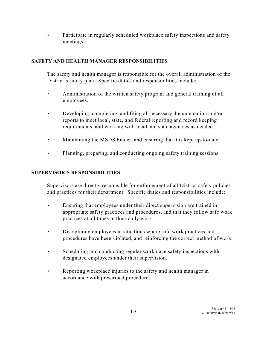• Participate in regularly scheduled workplace safety inspections and safety meetings.

# **SAFETY AND HEALTH MANAGER RESPONSIBILITIES**

The safety and health manager is responsible for the overall administration of the District's safety plan. Specific duties and responsibilities include:

- $\blacktriangleright$  Administration of the written safety program and general training of all employees.
- $\blacktriangleright$  Developing, completing, and filing all necessary documentation and/or reports to meet local, state, and federal reporting and record keeping requirements, and working with local and state agencies as needed.
- $\blacktriangleright$  Maintaining the MSDS binder, and ensuring that it is kept up-to-date.
- < Planning, preparing, and conducting ongoing safety training sessions.

# **SUPERVISOR'S RESPONSIBILITIES**

Supervisors are directly responsible for enforcement of all District safety policies and practices for their department. Specific duties and responsibilities include:

- $\blacktriangleright$  Ensuring that employees under their direct supervision are trained in appropriate safety practices and procedures, and that they follow safe work practices at all times in their daily work.
- $\triangleright$  Disciplining employees in situations where safe work practices and procedures have been violated, and reinforcing the correct method of work.
- $\triangleright$  Scheduling and conducting regular workplace safety inspections with designated employees under their supervision.
- $\blacktriangleright$  Reporting workplace injuries to the safety and health manager in accordance with prescribed procedures.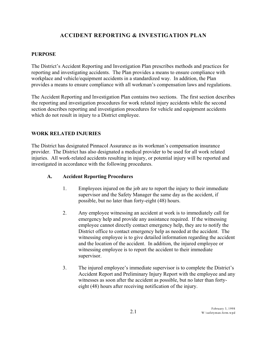# **ACCIDENT REPORTING & INVESTIGATION PLAN**

## **PURPOSE**

The District's Accident Reporting and Investigation Plan prescribes methods and practices for reporting and investigating accidents. The Plan provides a means to ensure compliance with workplace and vehicle/equipment accidents in a standardized way. In addition, the Plan provides a means to ensure compliance with all workman's compensation laws and regulations.

The Accident Reporting and Investigation Plan contains two sections. The first section describes the reporting and investigation procedures for work related injury accidents while the second section describes reporting and investigation procedures for vehicle and equipment accidents which do not result in injury to a District employee.

## **WORK RELATED INJURIES**

The District has designated Pinnacol Assurance as its workman's compensation insurance provider. The District has also designated a medical provider to be used for all work related injuries. All work-related accidents resulting in injury, or potential injury will be reported and investigated in accordance with the following procedures.

#### **A. Accident Reporting Procedures**

- 1. Employees injured on the job are to report the injury to their immediate supervisor and the Safety Manager the same day as the accident, if possible, but no later than forty-eight (48) hours.
- 2. Any employee witnessing an accident at work is to immediately call for emergency help and provide any assistance required. If the witnessing employee cannot directly contact emergency help, they are to notify the District office to contact emergency help as needed at the accident. The witnessing employee is to give detailed information regarding the accident and the location of the accident. In addition, the injured employee or witnessing employee is to report the accident to their immediate supervisor.
- 3. The injured employee's immediate supervisor is to complete the District's Accident Report and Preliminary Injury Report with the employee and any witnesses as soon after the accident as possible, but no later than fortyeight (48) hours after receiving notification of the injury.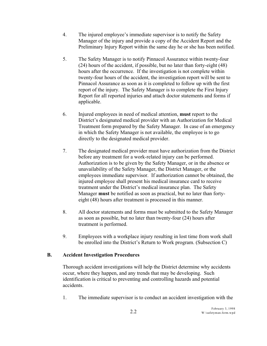- 4. The injured employee's immediate supervisor is to notify the Safety Manager of the injury and provide a copy of the Accident Report and the Preliminary Injury Report within the same day he or she has been notified.
- 5. The Safety Manager is to notify Pinnacol Assurance within twenty-four (24) hours of the accident, if possible, but no later than forty-eight (48) hours after the occurrence. If the investigation is not complete within twenty-four hours of the accident, the investigation report will be sent to Pinnacol Assurance as soon as it is completed to follow up with the first report of the injury. The Safety Manager is to complete the First Injury Report for all reported injuries and attach doctor statements and forms if applicable.
- 6. Injured employees in need of medical attention, **must** report to the District's designated medical provider with an Authorization for Medical Treatment form prepared by the Safety Manager. In case of an emergency in which the Safety Manager is not available, the employee is to go directly to the designated medical provider.
- 7. The designated medical provider must have authorization from the District before any treatment for a work-related injury can be performed. Authorization is to be given by the Safety Manager, or in the absence or unavailability of the Safety Manager, the District Manager, or the employees immediate supervisor. If authorization cannot be obtained, the injured employee shall present his medical insurance card to receive treatment under the District's medical insurance plan. The Safety Manager **must** be notified as soon as practical, but no later than fortyeight (48) hours after treatment is processed in this manner.
- 8. All doctor statements and forms must be submitted to the Safety Manager as soon as possible, but no later than twenty-four (24) hours after treatment is performed.
- 9. Employees with a workplace injury resulting in lost time from work shall be enrolled into the District's Return to Work program. (Subsection C)

# **B. Accident Investigation Procedures**

Thorough accident investigations will help the District determine why accidents occur, where they happen, and any trends that may be developing. Such identification is critical to preventing and controlling hazards and potential accidents.

1. The immediate supervisor is to conduct an accident investigation with the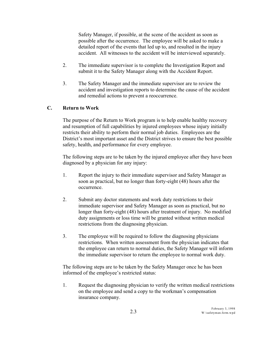Safety Manager, if possible, at the scene of the accident as soon as possible after the occurrence. The employee will be asked to make a detailed report of the events that led up to, and resulted in the injury accident. All witnesses to the accident will be interviewed separately.

- 2. The immediate supervisor is to complete the Investigation Report and submit it to the Safety Manager along with the Accident Report.
- 3. The Safety Manager and the immediate supervisor are to review the accident and investigation reports to determine the cause of the accident and remedial actions to prevent a reoccurrence.

## **C. Return to Work**

The purpose of the Return to Work program is to help enable healthy recovery and resumption of full capabilities by injured employees whose injury initially restricts their ability to perform their normal job duties. Employees are the District's most important asset and the District strives to ensure the best possible safety, health, and performance for every employee.

The following steps are to be taken by the injured employee after they have been diagnosed by a physician for any injury:

- 1. Report the injury to their immediate supervisor and Safety Manager as soon as practical, but no longer than forty-eight (48) hours after the occurrence.
- 2. Submit any doctor statements and work duty restrictions to their immediate supervisor and Safety Manager as soon as practical, but no longer than forty-eight (48) hours after treatment of injury. No modified duty assignments or loss time will be granted without written medical restrictions from the diagnosing physician.
- 3. The employee will be required to follow the diagnosing physicians restrictions. When written assessment from the physician indicates that the employee can return to normal duties, the Safety Manager will inform the immediate supervisor to return the employee to normal work duty.

The following steps are to be taken by the Safety Manager once he has been informed of the employee's restricted status:

1. Request the diagnosing physician to verify the written medical restrictions on the employee and send a copy to the workman's compensation insurance company.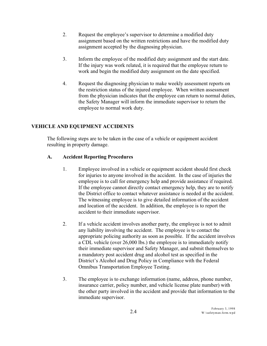- 2. Request the employee's supervisor to determine a modified duty assignment based on the written restrictions and have the modified duty assignment accepted by the diagnosing physician.
- 3. Inform the employee of the modified duty assignment and the start date. If the injury was work related, it is required that the employee return to work and begin the modified duty assignment on the date specified.
- 4. Request the diagnosing physician to make weekly assessment reports on the restriction status of the injured employee. When written assessment from the physician indicates that the employee can return to normal duties, the Safety Manager will inform the immediate supervisor to return the employee to normal work duty.

# **VEHICLE AND EQUIPMENT ACCIDENTS**

The following steps are to be taken in the case of a vehicle or equipment accident resulting in property damage.

# **A. Accident Reporting Procedures**

- 1. Employee involved in a vehicle or equipment accident should first check for injuries to anyone involved in the accident. In the case of injuries the employee is to call for emergency help and provide assistance if required. If the employee cannot directly contact emergency help, they are to notify the District office to contact whatever assistance is needed at the accident. The witnessing employee is to give detailed information of the accident and location of the accident. In addition, the employee is to report the accident to their immediate supervisor.
- 2. If a vehicle accident involves another party, the employee is not to admit any liability involving the accident. The employee is to contact the appropriate policing authority as soon as possible. If the accident involves a CDL vehicle (over 26,000 lbs.) the employee is to immediately notify their immediate supervisor and Safety Manager, and submit themselves to a mandatory post accident drug and alcohol test as specified in the District's Alcohol and Drug Policy in Compliance with the Federal Omnibus Transportation Employee Testing.
- 3. The employee is to exchange information (name, address, phone number, insurance carrier, policy number, and vehicle license plate number) with the other party involved in the accident and provide that information to the immediate supervisor.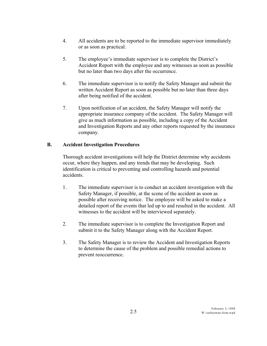- 4. All accidents are to be reported to the immediate supervisor immediately or as soon as practical.
- 5. The employee's immediate supervisor is to complete the District's Accident Report with the employee and any witnesses as soon as possible but no later than two days after the occurrence.
- 6. The immediate supervisor is to notify the Safety Manager and submit the written Accident Report as soon as possible but no later than three days after being notified of the accident.
- 7. Upon notification of an accident, the Safety Manager will notify the appropriate insurance company of the accident. The Safety Manager will give as much information as possible, including a copy of the Accident and Investigation Reports and any other reports requested by the insurance company.

# **B. Accident Investigation Procedures**

Thorough accident investigations will help the District determine why accidents occur, where they happen, and any trends that may be developing. Such identification is critical to preventing and controlling hazards and potential accidents.

- 1. The immediate supervisor is to conduct an accident investigation with the Safety Manager, if possible, at the scene of the accident as soon as possible after receiving notice. The employee will be asked to make a detailed report of the events that led up to and resulted in the accident. All witnesses to the accident will be interviewed separately.
- 2. The immediate supervisor is to complete the Investigation Report and submit it to the Safety Manager along with the Accident Report.
- 3. The Safety Manager is to review the Accident and Investigation Reports to determine the cause of the problem and possible remedial actions to prevent reoccurrence.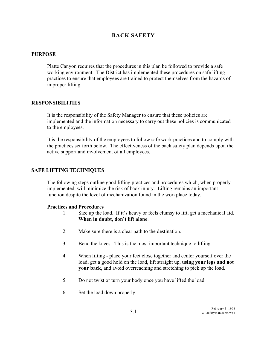# **BACK SAFETY**

#### **PURPOSE**

Platte Canyon requires that the procedures in this plan be followed to provide a safe working environment. The District has implemented these procedures on safe lifting practices to ensure that employees are trained to protect themselves from the hazards of improper lifting.

#### **RESPONSIBILITIES**

It is the responsibility of the Safety Manager to ensure that these policies are implemented and the information necessary to carry out these policies is communicated to the employees.

It is the responsibility of the employees to follow safe work practices and to comply with the practices set forth below. The effectiveness of the back safety plan depends upon the active support and involvement of all employees.

### **SAFE LIFTING TECHNIQUES**

The following steps outline good lifting practices and procedures which, when properly implemented, will minimize the risk of back injury. Lifting remains an important function despite the level of mechanization found in the workplace today.

#### **Practices and Procedures**

- 1. Size up the load. If it's heavy or feels clumsy to lift, get a mechanical aid. **When in doubt, don't lift alone**.
- 2. Make sure there is a clear path to the destination.
- 3. Bend the knees. This is the most important technique to lifting.
- 4. When lifting place your feet close together and center yourself over the load, get a good hold on the load, lift straight up, **using your legs and not your back**, and avoid overreaching and stretching to pick up the load.
- 5. Do not twist or turn your body once you have lifted the load.
- 6. Set the load down properly.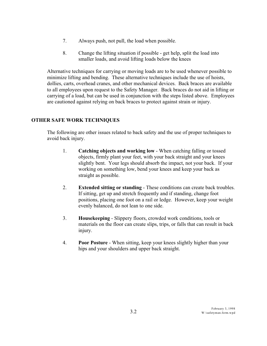- 7. Always push, not pull, the load when possible.
- 8. Change the lifting situation if possible get help, split the load into smaller loads, and avoid lifting loads below the knees

Alternative techniques for carrying or moving loads are to be used whenever possible to minimize lifting and bending. These alternative techniques include the use of hoists, dollies, carts, overhead cranes, and other mechanical devices. Back braces are available to all employees upon request to the Safety Manager. Back braces do not aid in lifting or carrying of a load, but can be used in conjunction with the steps listed above. Employees are cautioned against relying on back braces to protect against strain or injury.

# **OTHER SAFE WORK TECHNIQUES**

The following are other issues related to back safety and the use of proper techniques to avoid back injury.

- 1. **Catching objects and working low** When catching falling or tossed objects, firmly plant your feet, with your back straight and your knees slightly bent. Your legs should absorb the impact, not your back. If your working on something low, bend your knees and keep your back as straight as possible.
- 2. **Extended sitting or standing** These conditions can create back troubles. If sitting, get up and stretch frequently and if standing, change foot positions, placing one foot on a rail or ledge. However, keep your weight evenly balanced, do not lean to one side.
- 3. **Housekeeping** Slippery floors, crowded work conditions, tools or materials on the floor can create slips, trips, or falls that can result in back injury.
- 4. **Poor Posture**  When sitting, keep your knees slightly higher than your hips and your shoulders and upper back straight.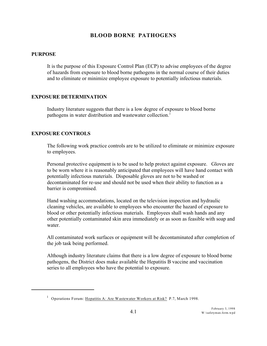# **BLOOD BORNE PATHOGENS**

### **PURPOSE**

It is the purpose of this Exposure Control Plan (ECP) to advise employees of the degree of hazards from exposure to blood borne pathogens in the normal course of their duties and to eliminate or minimize employee exposure to potentially infectious materials.

## **EXPOSURE DETERMINATION**

Industry literature suggests that there is a low degree of exposure to blood borne pathogens in water distribution and wastewater collection.<sup>1</sup>

## **EXPOSURE CONTROLS**

The following work practice controls are to be utilized to eliminate or minimize exposure to employees.

Personal protective equipment is to be used to help protect against exposure. Gloves are to be worn where it is reasonably anticipated that employees will have hand contact with potentially infectious materials. Disposable gloves are not to be washed or decontaminated for re-use and should not be used when their ability to function as a barrier is compromised.

Hand washing accommodations, located on the television inspection and hydraulic cleaning vehicles, are available to employees who encounter the hazard of exposure to blood or other potentially infectious materials. Employees shall wash hands and any other potentially contaminated skin area immediately or as soon as feasible with soap and water.

All contaminated work surfaces or equipment will be decontaminated after completion of the job task being performed.

Although industry literature claims that there is a low degree of exposure to blood borne pathogens, the District does make available the Hepatitis B vaccine and vaccination series to all employees who have the potential to exposure.

<sup>&</sup>lt;sup>1</sup> Operations Forum: Hepatitis A: Are Wastewater Workers at Risk? P.7, March 1998.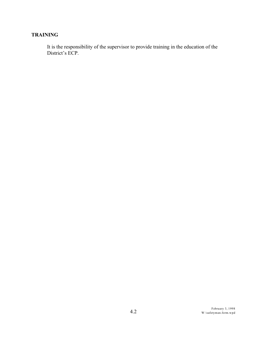# **TRAINING**

It is the responsibility of the supervisor to provide training in the education of the District's ECP.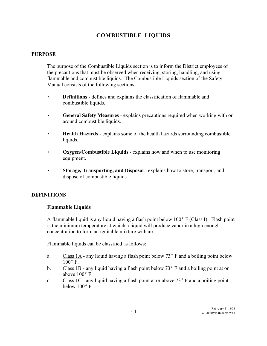# **COMBUSTIBLE LIQUIDS**

#### **PURPOSE**

The purpose of the Combustible Liquids section is to inform the District employees of the precautions that must be observed when receiving, storing, handling, and using flammable and combustible liquids. The Combustible Liquids section of the Safety Manual consists of the following sections:

- **EXECUTE: Definitions** defines and explains the classification of flammable and combustible liquids.
- < **General Safety Measures** explains precautions required when working with or around combustible liquids.
- < **Health Hazards** explains some of the health hazards surrounding combustible liquids.
- **Oxygen/Combustible Liquids** explains how and when to use monitoring equipment.
- < **Storage, Transporting, and Disposal** explains how to store, transport, and dispose of combustible liquids.

#### **DEFINITIONS**

#### **Flammable Liquids**

A flammable liquid is any liquid having a flash point below  $100^{\circ}$  F (Class I). Flash point is the minimum temperature at which a liquid will produce vapor in a high enough concentration to form an ignitable mixture with air.

Flammable liquids can be classified as follows:

- a. Class 1A any liquid having a flash point below  $73^{\circ}$  F and a boiling point below  $100^\circ$  F.
- b. Class 1B any liquid having a flash point below  $73^{\circ}$  F and a boiling point at or above  $100^{\circ}$  F.
- c. Class 1C any liquid having a flash point at or above  $73^{\circ}$  F and a boiling point below  $100^{\circ}$  F.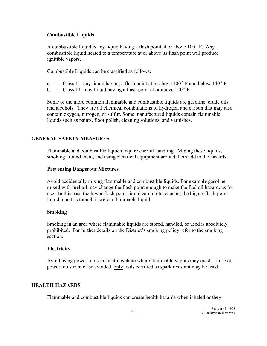## **Combustible Liquids**

A combustible liquid is any liquid having a flash point at or above  $100^{\circ}$  F. Any combustible liquid heated to a temperature at or above its flash point will produce ignitible vapors.

Combustible Liquids can be classified as follows:

- a. Class II any liquid having a flash point at or above  $100^{\circ}$  F and below  $140^{\circ}$  F.
- b. Class III any liquid having a flash point at or above  $140^{\circ}$  F.

Some of the more common flammable and combustible liquids are gasoline, crude oils, and alcohols. They are all chemical combinations of hydrogen and carbon that may also contain oxygen, nitrogen, or sulfur. Some manufactured liquids contain flammable liquids such as paints, floor polish, cleaning solutions, and varnishes.

## **GENERAL SAFETY MEASURES**

Flammable and combustible liquids require careful handling. Mixing these liquids, smoking around them, and using electrical equipment around them add to the hazards.

## **Preventing Dangerous Mixtures**

Avoid accidentally mixing flammable and combustible liquids. For example gasoline mixed with fuel oil may change the flash point enough to make the fuel oil hazardous for use. In this case the lower-flash-point liquid can ignite, causing the higher-flash-point liquid to act as though it were a flammable liquid.

#### **Smoking**

Smoking in an area where flammable liquids are stored, handled, or used is absolutely prohibited. For further details on the District's smoking policy refer to the smoking section.

## **Electricity**

Avoid using power tools in an atmosphere where flammable vapors may exist. If use of power tools cannot be avoided, only tools certified as spark resistant may be used.

## **HEALTH HAZARDS**

Flammable and combustible liquids can create health hazards when inhaled or they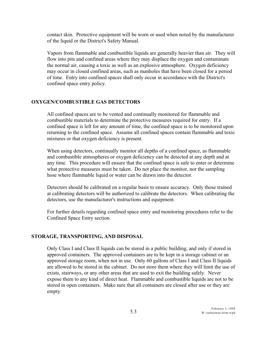contact skin. Protective equipment will be worn or used when noted by the manufacturer of the liquid or the District's Safety Manual.

Vapors from flammable and combustible liquids are generally heavier than air. They will flow into pits and confined areas where they may displace the oxygen and contaminate the normal air, causing a toxic as well as an explosive atmosphere. Oxygen deficiency may occur in closed confined areas, such as manholes that have been closed for a period of time. Entry into confined spaces shall only occur in accordance with the District's confined space entry policy.

#### **OXYGEN/COMBUSTIBLE GAS DETECTORS**

All confined spaces are to be vented and continually monitored for flammable and combustible materials to determine the protective measures required for entry. If a confined space is left for any amount of time, the confined space is to be monitored upon returning to the confined space. Assume all confined spaces contain flammable and toxic mixtures or that oxygen deficiency is present.

When using detectors, continually monitor all depths of a confined space, as flammable and combustible atmospheres or oxygen deficiency can be detected at any depth and at any time. This procedure will ensure that the confined space is safe to enter or determine what protective measures must be taken. Do not place the monitor, nor the sampling hose where flammable liquid or water can be drawn into the detector.

Detectors should be calibrated on a regular basis to ensure accuracy. Only those trained at calibrating detectors will be authorized to calibrate the detectors. When calibrating the detectors, use the manufacturer's instructions and equipment.

For further details regarding confined space entry and monitoring procedures refer to the Confined Space Entry section.

#### **STORAGE, TRANSPORTING, AND DISPOSAL**

Only Class I and Class II liquids can be stored in a public building, and only if stored in approved containers. The approved containers are to be kept in a storage cabinet or an approved storage room, when not in use. Only 60 gallons of Class I and Class II liquids are allowed to be stored in the cabinet. Do not store them where they will limit the use of exists, stairways, or any other areas that are used to exit the building safely. Never expose them to any kind of direct heat. Flammable and combustible liquids are not to be stored in open containers. Make sure that all containers are closed after use or they are empty.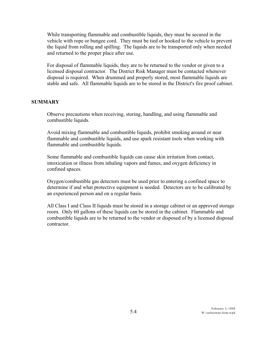While transporting flammable and combustible liquids, they must be secured in the vehicle with rope or bungee cord. They must be tied or hooked to the vehicle to prevent the liquid from rolling and spilling. The liquids are to be transported only when needed and returned to the proper place after use.

For disposal of flammable liquids, they are to be returned to the vendor or given to a licensed disposal contractor. The District Risk Manager must be contacted whenever disposal is required. When drummed and properly stored, most flammable liquids are stable and safe. All flammable liquids are to be stored in the District's fire proof cabinet.

## **SUMMARY**

Observe precautions when receiving, storing, handling, and using flammable and combustible liquids.

Avoid mixing flammable and combustible liquids, prohibit smoking around or near flammable and combustible liquids, and use spark resistant tools when working with flammable and combustible liquids.

Some flammable and combustible liquids can cause skin irritation from contact, intoxication or illness from inhaling vapors and fumes, and oxygen deficiency in confined spaces.

Oxygen/combustible gas detectors must be used prior to entering a confined space to determine if and what protective equipment is needed. Detectors are to be calibrated by an experienced person and on a regular basis.

All Class I and Class II liquids must be stored in a storage cabinet or an approved storage room. Only 60 gallons of these liquids can be stored in the cabinet. Flammable and combustible liquids are to be returned to the vendor or disposed of by a licensed disposal contractor.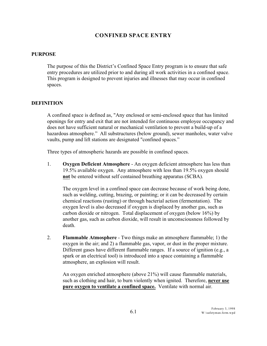# **CONFINED SPACE ENTRY**

### **PURPOSE**

The purpose of this the District's Confined Space Entry program is to ensure that safe entry procedures are utilized prior to and during all work activities in a confined space. This program is designed to prevent injuries and illnesses that may occur in confined spaces.

## **DEFINITION**

A confined space is defined as, "Any enclosed or semi-enclosed space that has limited openings for entry and exit that are not intended for continuous employee occupancy and does not have sufficient natural or mechanical ventilation to prevent a build-up of a hazardous atmosphere." All substructures (below ground), sewer manholes, water valve vaults, pump and lift stations are designated "confined spaces."

Three types of atmospheric hazards are possible in confined spaces.

1. **Oxygen Deficient Atmosphere** - An oxygen deficient atmosphere has less than 19.5% available oxygen. Any atmosphere with less than 19.5% oxygen should **not** be entered without self contained breathing apparatus (SCBA).

The oxygen level in a confined space can decrease because of work being done, such as welding, cutting, brazing, or painting; or it can be decreased by certain chemical reactions (rusting) or through bacterial action (fermentation). The oxygen level is also decreased if oxygen is displaced by another gas, such as carbon dioxide or nitrogen. Total displacement of oxygen (below 16%) by another gas, such as carbon dioxide, will result in unconsciousness followed by death.

2. **Flammable Atmosphere** - Two things make an atmosphere flammable; 1) the oxygen in the air; and 2) a flammable gas, vapor, or dust in the proper mixture. Different gases have different flammable ranges. If a source of ignition (e.g., a spark or an electrical tool) is introduced into a space containing a flammable atmosphere, an explosion will result.

An oxygen enriched atmosphere (above 21%) will cause flammable materials, such as clothing and hair, to burn violently when ignited. Therefore, **never use pure oxygen to ventilate a confined space.** Ventilate with normal air.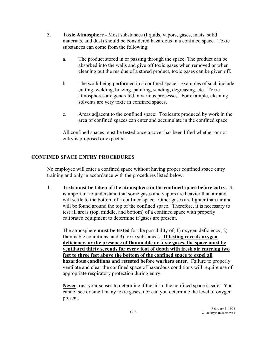- 3. **Toxic Atmosphere** Most substances (liquids, vapors, gases, mists, solid materials, and dust) should be considered hazardous in a confined space. Toxic substances can come from the following:
	- a. The product stored in or passing through the space: The product can be absorbed into the walls and give off toxic gases when removed or when cleaning out the residue of a stored product, toxic gases can be given off.
	- b. The work being performed in a confined space: Examples of such include cutting, welding, brazing, painting, sanding, degreasing, etc. Toxic atmospheres are generated in various processes. For example, cleaning solvents are very toxic in confined spaces.
	- c. Areas adjacent to the confined space: Toxicants produced by work in the area of confined spaces can enter and accumulate in the confined space.

All confined spaces must be tested once a cover has been lifted whether or not entry is proposed or expected.

# **CONFINED SPACE ENTRY PROCEDURES**

No employee will enter a confined space without having proper confined space entry training and only in accordance with the procedures listed below.

1. **Tests must be taken of the atmosphere in the confined space before entry.** It is important to understand that some gases and vapors are heavier than air and will settle to the bottom of a confined space. Other gases are lighter than air and will be found around the top of the confined space. Therefore, it is necessary to test all areas (top, middle, and bottom) of a confined space with properly calibrated equipment to determine if gases are present.

The atmosphere **must be tested** for the possibility of; 1) oxygen deficiency, 2) flammable conditions, and 3) toxic substances. **If testing reveals oxygen deficiency, or the presence of flammable or toxic gases, the space must be ventilated thirty seconds for every foot of depth with fresh air entering two feet to three feet above the bottom of the confined space to expel all hazardous conditions and retested before workers enter.** Failure to properly ventilate and clear the confined space of hazardous conditions will require use of appropriate respiratory protection during entry.

**Never** trust your senses to determine if the air in the confined space is safe! You cannot see or smell many toxic gases, nor can you determine the level of oxygen present.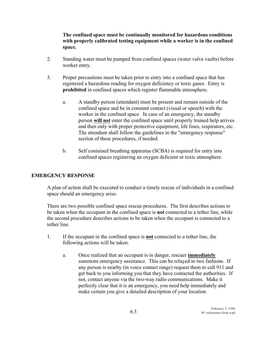# **The confined space must be continually monitored for hazardous conditions with properly calibrated testing equipment while a worker is in the confined space.**

- 2. Standing water must be pumped from confined spaces (water valve vaults) before worker entry.
- 3. Proper precautions must be taken prior to entry into a confined space that has registered a hazardous reading for oxygen deficiency or toxic gases. Entry is **prohibited** in confined spaces which register flammable atmosphere.
	- a. A standby person (attendant) must be present and remain outside of the confined space and be in constant contact (visual or speech) with the worker in the confined space. In case of an emergency, the standby person **will not** enter the confined space until properly trained help arrives and then only with proper protective equipment, life lines, respirators, etc. The attendant shall follow the guidelines in the "emergency response" section of these procedures, if needed.
	- b. Self contained breathing apparatus (SCBA) is required for entry into confined spaces registering an oxygen deficient or toxic atmosphere.

## **EMERGENCY RESPONSE**

A plan of action shall be executed to conduct a timely rescue of individuals in a confined space should an emergency arise.

There are two possible confined space rescue procedures. The first describes actions to be taken when the occupant in the confined space is **not** connected to a tether line, while the second procedure describes actions to be taken when the occupant is connected to a tether line.

- 1. If the occupant in the confined space is **not** connected to a tether line, the following actions will be taken:
	- a. Once realized that an occupant is in danger, rescuer **immediately** summons emergency assistance. This can be relayed in two fashions. If any person is nearby (in voice contact range) request them to call 911 and get back to you informing you that they have contacted the authorities. If not, contact anyone via the two-way radio communications. Make it perfectly clear that it is an emergency, you need help immediately and make certain you give a detailed description of your location.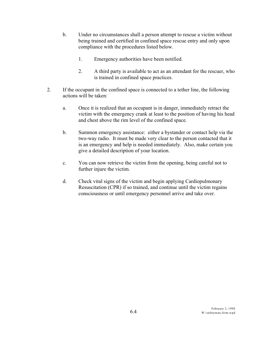- b. Under no circumstances shall a person attempt to rescue a victim without being trained and certified in confined space rescue entry and only upon compliance with the procedures listed below.
	- 1. Emergency authorities have been notified.
	- 2. A third party is available to act as an attendant for the rescuer, who is trained in confined space practices.
- 2. If the occupant in the confined space is connected to a tether line, the following actions will be taken:
	- a. Once it is realized that an occupant is in danger, immediately retract the victim with the emergency crank at least to the position of having his head and chest above the rim level of the confined space.
	- b. Summon emergency assistance: either a bystander or contact help via the two-way radio. It must be made very clear to the person contacted that it is an emergency and help is needed immediately. Also, make certain you give a detailed description of your location.
	- c. You can now retrieve the victim from the opening, being careful not to further injure the victim.
	- d. Check vital signs of the victim and begin applying Cardiopulmonary Resuscitation (CPR) if so trained, and continue until the victim regains consciousness or until emergency personnel arrive and take over.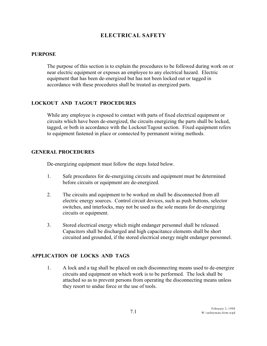# **ELECTRICAL SAFETY**

#### **PURPOSE**

The purpose of this section is to explain the procedures to be followed during work on or near electric equipment or exposes an employee to any electrical hazard. Electric equipment that has been de-energized but has not been locked out or tagged in accordance with these procedures shall be treated as energized parts.

## **LOCKOUT AND TAGOUT PROCEDURES**

While any employee is exposed to contact with parts of fixed electrical equipment or circuits which have been de-energized, the circuits energizing the parts shall be locked, tagged, or both in accordance with the Lockout/Tagout section. Fixed equipment refers to equipment fastened in place or connected by permanent wiring methods.

#### **GENERAL PROCEDURES**

De-energizing equipment must follow the steps listed below.

- 1. Safe procedures for de-energizing circuits and equipment must be determined before circuits or equipment are de-energized.
- 2. The circuits and equipment to be worked on shall be disconnected from all electric energy sources. Control circuit devices, such as push buttons, selector switches, and interlocks, may not be used as the sole means for de-energizing circuits or equipment.
- 3. Stored electrical energy which might endanger personnel shall be released. Capacitors shall be discharged and high capacitance elements shall be short circuited and grounded, if the stored electrical energy might endanger personnel.

## **APPLICATION OF LOCKS AND TAGS**

1. A lock and a tag shall be placed on each disconnecting means used to de-energize circuits and equipment on which work is to be performed. The lock shall be attached so as to prevent persons from operating the disconnecting means unless they resort to undue force or the use of tools.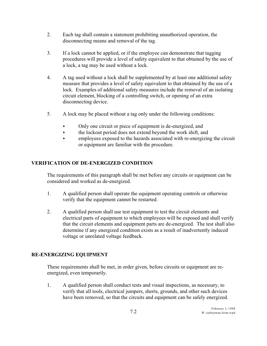- 2. Each tag shall contain a statement prohibiting unauthorized operation, the disconnecting means and removal of the tag.
- 3. If a lock cannot be applied, or if the employee can demonstrate that tagging procedures will provide a level of safety equivalent to that obtained by the use of a lock, a tag may be used without a lock.
- 4. A tag used without a lock shall be supplemented by at least one additional safety measure that provides a level of safety equivalent to that obtained by the use of a lock. Examples of additional safety measures include the removal of an isolating circuit element, blocking of a controlling switch, or opening of an extra disconnecting device.
- 5. A lock may be placed without a tag only under the following conditions:
	- < Only one circuit or piece of equipment is de-energized, and
	- $\rightarrow$  the lockout period does not extend beyond the work shift, and
	- **Exercise** employees exposed to the hazards associated with re-energizing the circuit or equipment are familiar with the procedure.

# **VERIFICATION OF DE-ENERGIZED CONDITION**

The requirements of this paragraph shall be met before any circuits or equipment can be considered and worked as de-energized.

- 1. A qualified person shall operate the equipment operating controls or otherwise verify that the equipment cannot be restarted.
- 2. A qualified person shall use test equipment to test the circuit elements and electrical parts of equipment to which employees will be exposed and shall verify that the circuit elements and equipment parts are de-energized. The test shall also determine if any energized condition exists as a result of inadvertently induced voltage or unrelated voltage feedback.

# **RE-ENERGIZING EQUIPMENT**

These requirements shall be met, in order given, before circuits or equipment are reenergized, even temporarily.

1. A qualified person shall conduct tests and visual inspections, as necessary, to verify that all tools, electrical jumpers, shorts, grounds, and other such devices have been removed, so that the circuits and equipment can be safely energized.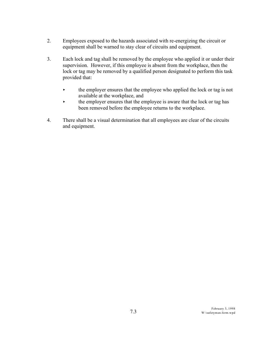- 2. Employees exposed to the hazards associated with re-energizing the circuit or equipment shall be warned to stay clear of circuits and equipment.
- 3. Each lock and tag shall be removed by the employee who applied it or under their supervision. However, if this employee is absent from the workplace, then the lock or tag may be removed by a qualified person designated to perform this task provided that:
	- $\blacktriangleright$  the employer ensures that the employee who applied the lock or tag is not available at the workplace, and
	- $\blacktriangleright$  the employer ensures that the employee is aware that the lock or tag has been removed before the employee returns to the workplace.
- 4. There shall be a visual determination that all employees are clear of the circuits and equipment.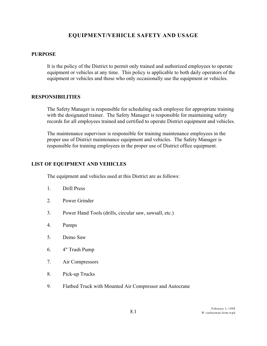# **EQUIPMENT/VEHICLE SAFETY AND USAGE**

#### **PURPOSE**

It is the policy of the District to permit only trained and authorized employees to operate equipment or vehicles at any time. This policy is applicable to both daily operators of the equipment or vehicles and those who only occasionally use the equipment or vehicles.

#### **RESPONSIBILITIES**

The Safety Manager is responsible for scheduling each employee for appropriate training with the designated trainer. The Safety Manager is responsible for maintaining safety records for all employees trained and certified to operate District equipment and vehicles.

The maintenance supervisor is responsible for training maintenance employees in the proper use of District maintenance equipment and vehicles. The Safety Manager is responsible for training employees in the proper use of District office equipment.

## **LIST OF EQUIPMENT AND VEHICLES**

The equipment and vehicles used at this District are as follows:

- 1. Drill Press
- 2. Power Grinder
- 3. Power Hand Tools (drills, circular saw, sawsall, etc.)
- 4. Pumps
- 5. Demo Saw
- 6. 4" Trash Pump
- 7. Air Compressors
- 8. Pick-up Trucks
- 9. Flatbed Truck with Mounted Air Compressor and Autocrane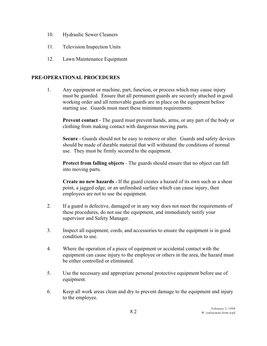- 10. Hydraulic Sewer Cleaners
- 11. Television Inspection Units
- 12. Lawn Maintenance Equipment

### **PRE-OPERATIONAL PROCEDURES**

1. Any equipment or machine, part, function, or process which may cause injury must be guarded. Ensure that all permanent guards are securely attached in good working order and all removable guards are in place on the equipment before starting use. Guards must meet these minimum requirements:

**Prevent contact** - The guard must prevent hands, arms, or any part of the body or clothing from making contact with dangerous moving parts.

**Secure** - Guards should not be easy to remove or alter. Guards and safety devices should be made of durable material that will withstand the conditions of normal use. They must be firmly secured to the equipment.

**Protect from falling objects** - The guards should ensure that no object can fall into moving parts.

**Create no new hazards** - If the guard creates a hazard of its own such as a shear point, a jagged edge, or an unfinished surface which can cause injury, then employees are not to use the equipment.

- 2. If a guard is defective, damaged or in any way does not meet the requirements of these procedures, do not use the equipment, and immediately notify your supervisor and Safety Manager.
- 3. Inspect all equipment, cords, and accessories to ensure the equipment is in good condition to use.
- 4. Where the operation of a piece of equipment or accidental contact with the equipment can cause injury to the employee or others in the area, the hazard must be either controlled or eliminated.
- 5. Use the necessary and appropriate personal protective equipment before use of equipment.
- 6. Keep all work areas clean and dry to prevent damage to the equipment and injury to the employee.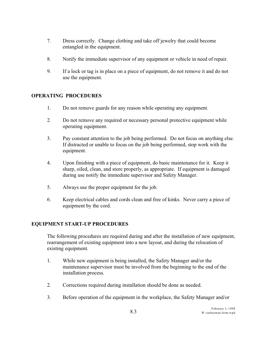- 7. Dress correctly. Change clothing and take off jewelry that could become entangled in the equipment.
- 8. Notify the immediate supervisor of any equipment or vehicle in need of repair.
- 9. If a lock or tag is in place on a piece of equipment, do not remove it and do not use the equipment.

# **OPERATING PROCEDURES**

- 1. Do not remove guards for any reason while operating any equipment.
- 2. Do not remove any required or necessary personal protective equipment while operating equipment.
- 3. Pay constant attention to the job being performed. Do not focus on anything else. If distracted or unable to focus on the job being performed, stop work with the equipment.
- 4. Upon finishing with a piece of equipment, do basic maintenance for it. Keep it sharp, oiled, clean, and store properly, as appropriate. If equipment is damaged during use notify the immediate supervisor and Safety Manager.
- 5. Always use the proper equipment for the job.
- 6. Keep electrical cables and cords clean and free of kinks. Never carry a piece of equipment by the cord.

## **EQUIPMENT START-UP PROCEDURES**

The following procedures are required during and after the installation of new equipment, rearrangement of existing equipment into a new layout, and during the relocation of existing equipment.

- 1. While new equipment is being installed, the Safety Manager and/or the maintenance supervisor must be involved from the beginning to the end of the installation process.
- 2. Corrections required during installation should be done as needed.
- 3. Before operation of the equipment in the workplace, the Safety Manager and/or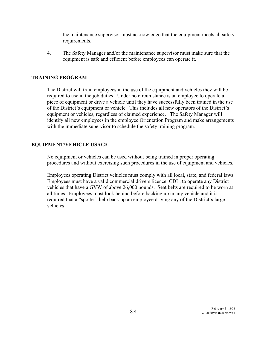the maintenance supervisor must acknowledge that the equipment meets all safety requirements.

4. The Safety Manager and/or the maintenance supervisor must make sure that the equipment is safe and efficient before employees can operate it.

## **TRAINING PROGRAM**

The District will train employees in the use of the equipment and vehicles they will be required to use in the job duties. Under no circumstance is an employee to operate a piece of equipment or drive a vehicle until they have successfully been trained in the use of the District's equipment or vehicle. This includes all new operators of the District's equipment or vehicles, regardless of claimed experience. The Safety Manager will identify all new employees in the employee Orientation Program and make arrangements with the immediate supervisor to schedule the safety training program.

#### **EQUIPMENT/VEHICLE USAGE**

No equipment or vehicles can be used without being trained in proper operating procedures and without exercising such procedures in the use of equipment and vehicles.

Employees operating District vehicles must comply with all local, state, and federal laws. Employees must have a valid commercial drivers licence, CDL, to operate any District vehicles that have a GVW of above 26,000 pounds. Seat belts are required to be worn at all times. Employees must look behind before backing up in any vehicle and it is required that a "spotter" help back up an employee driving any of the District's large vehicles.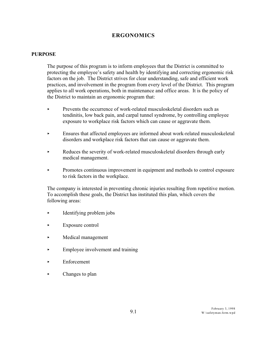# **ERGONOMICS**

#### **PURPOSE**

The purpose of this program is to inform employees that the District is committed to protecting the employee's safety and health by identifying and correcting ergonomic risk factors on the job. The District strives for clear understanding, safe and efficient work practices, and involvement in the program from every level of the District. This program applies to all work operations, both in maintenance and office areas. It is the policy of the District to maintain an ergonomic program that:

- $\blacktriangleright$  Prevents the occurrence of work-related musculoskeletal disorders such as tendinitis, low back pain, and carpal tunnel syndrome, by controlling employee exposure to workplace risk factors which can cause or aggravate them.
- < Ensures that affected employees are informed about work-related musculoskeletal disorders and workplace risk factors that can cause or aggravate them.
- reduces the severity of work-related musculoskeletal disorders through early medical management.
- < Promotes continuous improvement in equipment and methods to control exposure to risk factors in the workplace.

The company is interested in preventing chronic injuries resulting from repetitive motion. To accomplish these goals, the District has instituted this plan, which covers the following areas:

- $\blacktriangleright$  Identifying problem jobs
- $\blacktriangleright$  Exposure control
- < Medical management
- Employee involvement and training
- $\blacktriangleright$  Enforcement
- Changes to plan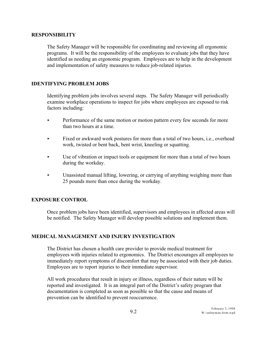#### **RESPONSIBILITY**

The Safety Manager will be responsible for coordinating and reviewing all ergonomic programs. It will be the responsibility of the employees to evaluate jobs that they have identified as needing an ergonomic program. Employees are to help in the development and implementation of safety measures to reduce job-related injuries.

## **IDENTIFYING PROBLEM JOBS**

Identifying problem jobs involves several steps. The Safety Manager will periodically examine workplace operations to inspect for jobs where employees are exposed to risk factors including:

- Performance of the same motion or motion pattern every few seconds for more than two hours at a time.
- Fixed or awkward work postures for more than a total of two hours, i.e., overhead work, twisted or bent back, bent wrist, kneeling or squatting.
- < Use of vibration or impact tools or equipment for more than a total of two hours during the workday.
- < Unassisted manual lifting, lowering, or carrying of anything weighing more than 25 pounds more than once during the workday.

### **EXPOSURE CONTROL**

Once problem jobs have been identified, supervisors and employees in affected areas will be notified. The Safety Manager will develop possible solutions and implement them.

#### **MEDICAL MANAGEMENT AND INJURY INVESTIGATION**

The District has chosen a health care provider to provide medical treatment for employees with injuries related to ergonomics. The District encourages all employees to immediately report symptoms of discomfort that may be associated with their job duties. Employees are to report injuries to their immediate supervisor.

All work procedures that result in injury or illness, regardless of their nature will be reported and investigated. It is an integral part of the District's safety program that documentation is completed as soon as possible so that the cause and means of prevention can be identified to prevent reoccurrence.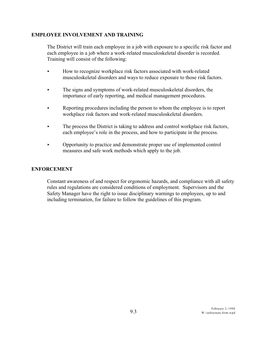# **EMPLOYEE INVOLVEMENT AND TRAINING**

The District will train each employee in a job with exposure to a specific risk factor and each employee in a job where a work-related musculoskeletal disorder is recorded. Training will consist of the following:

- < How to recognize workplace risk factors associated with work-related musculoskeletal disorders and ways to reduce exposure to those risk factors.
- < The signs and symptoms of work-related musculoskeletal disorders, the importance of early reporting, and medical management procedures.
- Reporting procedures including the person to whom the employee is to report workplace risk factors and work-related musculoskeletal disorders.
- $\blacktriangleright$  The process the District is taking to address and control workplace risk factors, each employee's role in the process, and how to participate in the process.
- < Opportunity to practice and demonstrate proper use of implemented control measures and safe work methods which apply to the job.

## **ENFORCEMENT**

Constant awareness of and respect for ergonomic hazards, and compliance with all safety rules and regulations are considered conditions of employment. Supervisors and the Safety Manager have the right to issue disciplinary warnings to employees, up to and including termination, for failure to follow the guidelines of this program.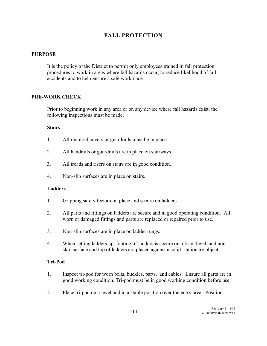# **FALL PROTECTION**

## **PURPOSE**

It is the policy of the District to permit only employees trained in fall protection procedures to work in areas where fall hazards occur, to reduce likelihood of fall accidents and to help ensure a safe workplace.

## **PRE-WORK CHECK**

Prior to beginning work in any area or on any device where fall hazards exist, the following inspections must be made.

#### **Stairs**

- 1. All required covers or guardrails must be in place.
- 2. All handrails or guardrails are in place on stairways.
- 3. All treads and risers on stairs are in good condition.
- 4. Non-slip surfaces are in place on stairs.

#### **Ladders**

- 1. Gripping safety feet are in place and secure on ladders.
- 2. All parts and fittings on ladders are secure and in good operating condition. All worn or damaged fittings and parts are replaced or repaired prior to use.
- 3. Non-slip surfaces are in place on ladder rungs.
- 4. When setting ladders up, footing of ladders is secure on a firm, level, and nonskid surface and top of ladders are placed against a solid, stationary object.

#### **Tri-Pod**

- 1. Inspect tri-pod for worn belts, buckles, parts, and cables. Ensure all parts are in good working condition. Tri-pod must be in good working condition before use.
- 2. Place tri-pod on a level and in a stable position over the entry area. Position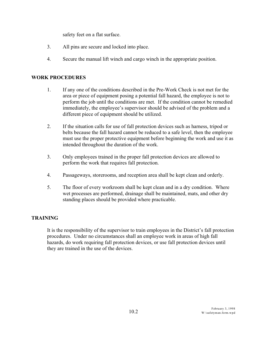safety feet on a flat surface.

- 3. All pins are secure and locked into place.
- 4. Secure the manual lift winch and cargo winch in the appropriate position.

# **WORK PROCEDURES**

- 1. If any one of the conditions described in the Pre-Work Check is not met for the area or piece of equipment posing a potential fall hazard, the employee is not to perform the job until the conditions are met. If the condition cannot be remedied immediately, the employee's supervisor should be advised of the problem and a different piece of equipment should be utilized.
- 2. If the situation calls for use of fall protection devices such as harness, tripod or belts because the fall hazard cannot be reduced to a safe level, then the employee must use the proper protective equipment before beginning the work and use it as intended throughout the duration of the work.
- 3. Only employees trained in the proper fall protection devices are allowed to perform the work that requires fall protection.
- 4. Passageways, storerooms, and reception area shall be kept clean and orderly.
- 5. The floor of every workroom shall be kept clean and in a dry condition. Where wet processes are performed, drainage shall be maintained, mats, and other dry standing places should be provided where practicable.

# **TRAINING**

It is the responsibility of the supervisor to train employees in the District's fall protection procedures. Under no circumstances shall an employee work in areas of high fall hazards, do work requiring fall protection devices, or use fall protection devices until they are trained in the use of the devices.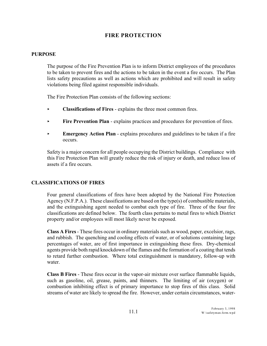# **FIRE PROTECTION**

#### **PURPOSE**

The purpose of the Fire Prevention Plan is to inform District employees of the procedures to be taken to prevent fires and the actions to be taken in the event a fire occurs. The Plan lists safety precautions as well as actions which are prohibited and will result in safety violations being filed against responsible individuals.

The Fire Protection Plan consists of the following sections:

- < **Classifications of Fires** explains the three most common fires.
- **Fire Prevention Plan** explains practices and procedures for prevention of fires.
- **Emergency Action Plan** explains procedures and guidelines to be taken if a fire occurs.

Safety is a major concern for all people occupying the District buildings. Compliance with this Fire Protection Plan will greatly reduce the risk of injury or death, and reduce loss of assets if a fire occurs.

#### **CLASSIFICATIONS OF FIRES**

Four general classifications of fires have been adopted by the National Fire Protection Agency (N.F.P.A.). These classifications are based on the type(s) of combustible materials, and the extinguishing agent needed to combat each type of fire. Three of the four fire classifications are defined below. The fourth class pertains to metal fires to which District property and/or employees will most likely never be exposed.

**Class A Fires**- These fires occur in ordinary materials such as wood, paper, excelsior, rags, and rubbish. The quenching and cooling effects of water, or of solutions containing large percentages of water, are of first importance in extinguishing these fires. Dry-chemical agents provide both rapid knockdown of the flames and the formation of a coating that tends to retard further combustion. Where total extinguishment is mandatory, follow-up with water.

**Class B Fires** - These fires occur in the vapor-air mixture over surface flammable liquids, such as gasoline, oil, grease, paints, and thinners. The limiting of air (oxygen) or combustion inhibiting effect is of primary importance to stop fires of this class. Solid streams of water are likely to spread the fire. However, under certain circumstances, water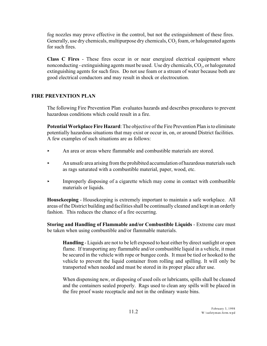fog nozzles may prove effective in the control, but not the extinguishment of these fires. Generally, use dry chemicals, multipurpose dry chemicals,  $\mathrm{CO}_2$  foam, or halogenated agents for such fires.

**Class C Fires** - These fires occur in or near energized electrical equipment where nonconducting - extinguishing agents must be used. Use dry chemicals,  $\mathrm{CO}_2$ , or halogenated extinguishing agents for such fires. Do not use foam or a stream of water because both are good electrical conductors and may result in shock or electrocution.

## **FIRE PREVENTION PLAN**

The following Fire Prevention Plan evaluates hazards and describes procedures to prevent hazardous conditions which could result in a fire.

**Potential Workplace Fire Hazard**: The objective of the Fire Prevention Plan is to eliminate potentially hazardous situations that may exist or occur in, on, or around District facilities. A few examples of such situations are as follows:

- $\blacktriangleright$  An area or areas where flammable and combustible materials are stored.
- An unsafe area arising from the prohibited accumulation of hazardous materials such as rags saturated with a combustible material, paper, wood, etc.
- **Example 1** Improperly disposing of a cigarette which may come in contact with combustible materials or liquids.

**Housekeeping** - Housekeeping is extremely important to maintain a safe workplace. All areas of the District building and facilities shall be continually cleaned and kept in an orderly fashion. This reduces the chance of a fire occurring.

**Storing and Handling of Flammable and/or Combustible Liquids** - Extreme care must be taken when using combustible and/or flammable materials.

**Handling** - Liquids are not to be left exposed to heat either by direct sunlight or open flame. If transporting any flammable and/or combustible liquid in a vehicle, it must be secured in the vehicle with rope or bungee cords. It must be tied or hooked to the vehicle to prevent the liquid container from rolling and spilling. It will only be transported when needed and must be stored in its proper place after use.

When dispensing new, or disposing of used oils or lubricants, spills shall be cleaned and the containers sealed properly. Rags used to clean any spills will be placed in the fire proof waste receptacle and not in the ordinary waste bins.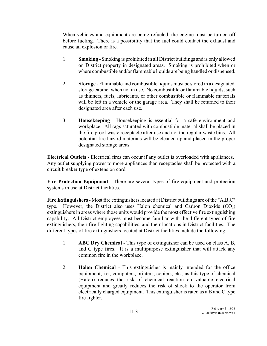When vehicles and equipment are being refueled, the engine must be turned off before fueling. There is a possibility that the fuel could contact the exhaust and cause an explosion or fire.

- 1. **Smoking** Smoking is prohibited in all District buildings and is only allowed on District property in designated areas. Smoking is prohibited when or where combustible and/or flammable liquids are being handled or dispensed.
- 2. **Storage**  Flammable and combustible liquids must be stored in a designated storage cabinet when not in use. No combustible or flammable liquids, such as thinners, fuels, lubricants, or other combustible or flammable materials will be left in a vehicle or the garage area. They shall be returned to their designated area after each use.
- 3. **Housekeeping**  Housekeeping is essential for a safe environment and workplace. All rags saturated with combustible material shall be placed in the fire proof waste receptacle after use and not the regular waste bins. All potential fire hazard materials will be cleaned up and placed in the proper designated storage areas.

**Electrical Outlets** - Electrical fires can occur if any outlet is overloaded with appliances. Any outlet supplying power to more appliances than receptacles shall be protected with a circuit breaker type of extension cord.

**Fire Protection Equipment** - There are several types of fire equipment and protection systems in use at District facilities.

**Fire Extinguishers**- Most fire extinguishers located at District buildings are of the "A,B,C" type. However, the District also uses Halon chemical and Carbon Dioxide  $(CO_2)$ extinguishers in areas where those units would provide the most effective fire extinguishing capability. All District employees must become familiar with the different types of fire extinguishers, their fire fighting capabilities, and their locations in District facilities. The different types of fire extinguishers located at District facilities include the following:

- 1. **ABC Dry Chemical** This type of extinguisher can be used on class A, B, and C type fires. It is a multipurpose extinguisher that will attack any common fire in the workplace.
- 2. **Halon Chemical** This extinguisher is mainly intended for the office equipment, i.e., computers, printers, copiers, etc., as this type of chemical (Halon) reduces the risk of chemical reaction on valuable electrical equipment and greatly reduces the risk of shock to the operator from electrically charged equipment. This extinguisher is rated as a B and C type fire fighter.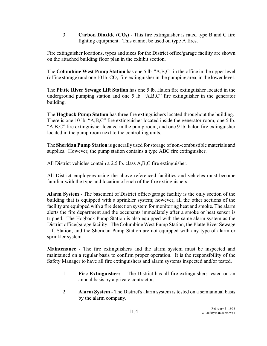**2. Carbon Dioxide (CO<sub>2</sub>) - This fire extinguisher is rated type B and C fire** fighting equipment. This cannot be used on type A fires.

Fire extinguisher locations, types and sizes for the District office/garage facility are shown on the attached building floor plan in the exhibit section.

The **Columbine West Pump Station** has one 5 lb. "A,B,C" in the office in the upper level (office storage) and one 10 lb.  $CO_2$  fire extinguisher in the pumping area, in the lower level.

The **Platte River Sewage Lift Station** has one 5 lb. Halon fire extinguisher located in the underground pumping station and one 5 lb. "A,B,C" fire extinguisher in the generator building.

The **Hogback Pump Station** has three fire extinguishers located throughout the building. There is one 10 lb. "A,B,C" fire extinguisher located inside the generator room, one 5 lb. "A,B,C" fire extinguisher located in the pump room, and one 9 lb. halon fire extinguisher located in the pump room next to the controlling units.

The **Sheridan Pump Station** is generally used for storage of non-combustible materials and supplies. However, the pump station contains a type ABC fire extinguisher.

All District vehicles contain a 2.5 lb. class A,B,C fire extinguisher.

All District employees using the above referenced facilities and vehicles must become familiar with the type and location of each of the fire extinguishers.

**Alarm System** - The basement of District office/garage facility is the only section of the building that is equipped with a sprinkler system; however, all the other sections of the facility are equipped with a fire detection system for monitoring heat and smoke. The alarm alerts the fire department and the occupants immediately after a smoke or heat sensor is tripped. The Hogback Pump Station is also equipped with the same alarm system as the District office/garage facility. The Columbine West Pump Station, the Platte River Sewage Lift Station, and the Sheridan Pump Station are not equipped with any type of alarm or sprinkler system.

**Maintenance** - The fire extinguishers and the alarm system must be inspected and maintained on a regular basis to confirm proper operation. It is the responsibility of the Safety Manager to have all fire extinguishers and alarm systems inspected and/or tested.

- 1. **Fire Extinguishers**  The District has all fire extinguishers tested on an annual basis by a private contractor.
- 2. **Alarm System**  The District's alarm system is tested on a semiannual basis by the alarm company.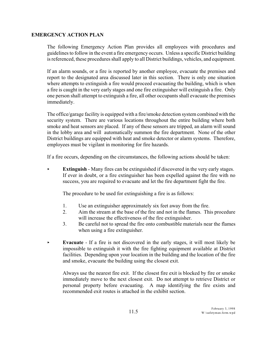## **EMERGENCY ACTION PLAN**

The following Emergency Action Plan provides all employees with procedures and guidelinesto follow in the event a fire emergency occurs. Unless a specific District building is referenced, these procedures shall apply to all District buildings, vehicles, and equipment.

If an alarm sounds, or a fire is reported by another employee, evacuate the premises and report to the designated area discussed later in this section. There is only one situation where attempts to extinguish a fire would proceed evacuating the building, which is when a fire is caught in the very early stages and one fire extinguisher will extinguish a fire. Only one person shall attempt to extinguish a fire, all other occupants shall evacuate the premises immediately.

The office/garage facility is equipped with a fire/smoke detection system combined with the security system. There are various locations throughout the entire building where both smoke and heat sensors are placed. If any of these sensors are tripped, an alarm will sound in the lobby area and will automatically summon the fire department. None of the other District buildings are equipped with heat and smoke detector or alarm systems. Therefore, employees must be vigilant in monitoring for fire hazards.

If a fire occurs, depending on the circumstances, the following actions should be taken:

**Extinguish** - Many fires can be extinguished if discovered in the very early stages. If ever in doubt, or a fire extinguisher has been expelled against the fire with no success, you are required to evacuate and let the fire department fight the fire.

The procedure to be used for extinguishing a fire is as follows:

- 1. Use an extinguisher approximately six feet away from the fire.
- 2. Aim the stream at the base of the fire and not in the flames. This procedure will increase the effectiveness of the fire extinguisher.
- 3. Be careful not to spread the fire onto combustible materials near the flames when using a fire extinguisher.
- < **Evacuate**  If a fire is not discovered in the early stages, it will most likely be impossible to extinguish it with the fire fighting equipment available at District facilities. Depending upon your location in the building and the location of the fire and smoke, evacuate the building using the closest exit.

Always use the nearest fire exit. If the closest fire exit is blocked by fire or smoke immediately move to the next closest exit. Do not attempt to retrieve District or personal property before evacuating. A map identifying the fire exists and recommended exit routes is attached in the exhibit section.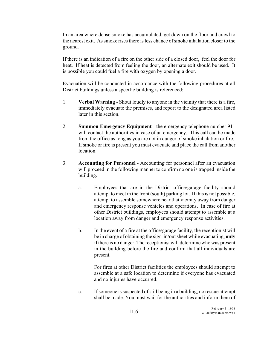In an area where dense smoke has accumulated, get down on the floor and crawl to the nearest exit. As smoke rises there is less chance of smoke inhalation closer to the ground.

If there is an indication of a fire on the other side of a closed door, feel the door for heat. If heat is detected from feeling the door, an alternate exit should be used. It is possible you could fuel a fire with oxygen by opening a door.

Evacuation will be conducted in accordance with the following procedures at all District buildings unless a specific building is referenced:

- 1. **Verbal Warning** Shout loudly to anyone in the vicinity that there is a fire, immediately evacuate the premises, and report to the designated area listed later in this section.
- 2. **Summon Emergency Equipment** the emergency telephone number 911 will contact the authorities in case of an emergency. This call can be made from the office as long as you are not in danger of smoke inhalation or fire. If smoke or fire is present you must evacuate and place the call from another location.
- 3. **Accounting for Personnel** Accounting for personnel after an evacuation will proceed in the following manner to confirm no one is trapped inside the building.
	- a. Employees that are in the District office/garage facility should attempt to meet in the front (south) parking lot. If this is not possible, attempt to assemble somewhere near that vicinity away from danger and emergency response vehicles and operations. In case of fire at other District buildings, employees should attempt to assemble at a location away from danger and emergency response activities.
	- b. In the event of a fire at the office/garage facility, the receptionist will be in charge of obtaining the sign-in/out sheet while evacuating, **only** if there is no danger. The receptionist will determine who was present in the building before the fire and confirm that all individuals are present.

For fires at other District facilities the employees should attempt to assemble at a safe location to determine if everyone has evacuated and no injuries have occurred.

c. If someone is suspected of still being in a building, no rescue attempt shall be made. You must wait for the authorities and inform them of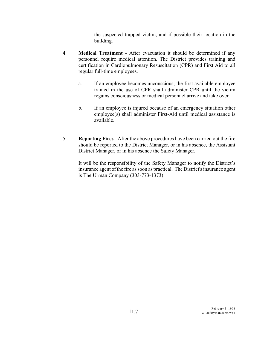the suspected trapped victim, and if possible their location in the building.

- 4. **Medical Treatment** After evacuation it should be determined if any personnel require medical attention. The District provides training and certification in Cardiopulmonary Resuscitation (CPR) and First Aid to all regular full-time employees.
	- a. If an employee becomes unconscious, the first available employee trained in the use of CPR shall administer CPR until the victim regains consciousness or medical personnel arrive and take over.
	- b. If an employee is injured because of an emergency situation other employee(s) shall administer First-Aid until medical assistance is available.
- 5. **Reporting Fires**  After the above procedures have been carried out the fire should be reported to the District Manager, or in his absence, the Assistant District Manager, or in his absence the Safety Manager.

It will be the responsibility of the Safety Manager to notify the District's insurance agent of the fire as soon as practical. The District's insurance agent is The Urman Company (303-773-1373).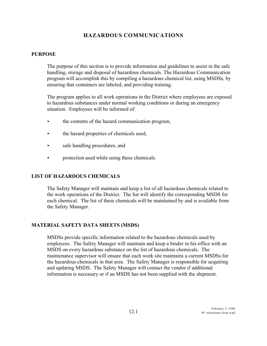# **HAZARDOUS COMMUNICATIONS**

#### **PURPOSE**

The purpose of this section is to provide information and guidelines to assist in the safe handling, storage and disposal of hazardous chemicals. The Hazardous Communication program will accomplish this by compiling a hazardous chemical list, using MSDSs, by ensuring that containers are labeled, and providing training.

The program applies to all work operations in the District where employees are exposed to hazardous substances under normal working conditions or during an emergency situation. Employees will be informed of:

- $\rightarrow$  the contents of the hazard communication program,
- $\rightarrow$  the hazard properties of chemicals used,
- **Exercise** Safe handling procedures, and
- $\triangleright$  protection used while using these chemicals.

#### **LIST OF HAZARDOUS CHEMICALS**

The Safety Manager will maintain and keep a list of all hazardous chemicals related to the work operations of the District. The list will identify the corresponding MSDS for each chemical. The list of these chemicals will be maintained by and is available from the Safety Manager.

#### **MATERIAL SAFETY DATA SHEETS (MSDS)**

MSDSs provide specific information related to the hazardous chemicals used by employees. The Safety Manager will maintain and keep a binder in his office with an MSDS on every hazardous substance on the list of hazardous chemicals. The maintenance supervisor will ensure that each work site maintains a current MSDSs for the hazardous chemicals in that area. The Safety Manager is responsible for acquiring and updating MSDS. The Safety Manager will contact the vendor if additional information is necessary or if an MSDS has not been supplied with the shipment.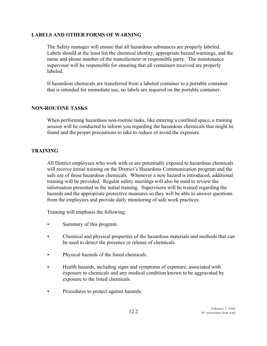## **LABELS AND OTHER FORMS OF WARNING**

The Safety manager will ensure that all hazardous substances are properly labeled. Labels should at the least list the chemical identity, appropriate hazard warnings, and the name and phone number of the manufacturer or responsible party. The maintenance supervisor will be responsible for ensuring that all containers received are properly labeled.

If hazardous chemicals are transferred from a labeled container to a portable container that is intended for immediate use, no labels are required on the portable container.

## **NON-ROUTINE TASKS**

When performing hazardous non-routine tasks, like entering a confined space, a training session will be conducted to inform you regarding the hazardous chemicals that might be found and the proper precautions to take to reduce or avoid the exposure.

## **TRAINING**

All District employees who work with or are potentially exposed to hazardous chemicals will receive initial training on the District's Hazardous Communication program and the safe use of those hazardous chemicals. Whenever a new hazard is introduced, additional training will be provided. Regular safety meetings will also be used to review the information presented in the initial training. Supervisors will be trained regarding the hazards and the appropriate protective measures so they will be able to answer questions from the employees and provide daily monitoring of safe work practices.

Training will emphasis the following:

- $\blacktriangleright$  Summary of this program.
- < Chemical and physical properties of the hazardous materials and methods that can be used to detect the presence or release of chemicals.
- Physical hazards of the listed chemicals.
- $\blacktriangleright$  Health hazards, including signs and symptoms of exposure, associated with exposure to chemicals and any medical condition known to be aggravated by exposure to the listed chemicals.
- Procedures to protect against hazards.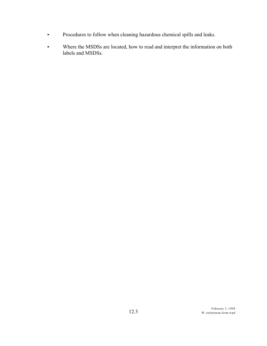- < Procedures to follow when cleaning hazardous chemical spills and leaks.
- < Where the MSDSs are located, how to read and interpret the information on both labels and MSDSs.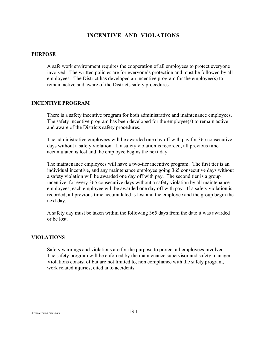## **INCENTIVE AND VIOLATIONS**

#### **PURPOSE**

A safe work environment requires the cooperation of all employees to protect everyone involved. The written policies are for everyone's protection and must be followed by all employees. The District has developed an incentive program for the employee(s) to remain active and aware of the Districts safety procedures.

#### **INCENTIVE PROGRAM**

There is a safety incentive program for both administrative and maintenance employees. The safety incentive program has been developed for the employee(s) to remain active and aware of the Districts safety procedures.

The administrative employees will be awarded one day off with pay for 365 consecutive days without a safety violation. If a safety violation is recorded, all previous time accumulated is lost and the employee begins the next day.

The maintenance employees will have a two-tier incentive program. The first tier is an individual incentive, and any maintenance employee going 365 consecutive days without a safety violation will be awarded one day off with pay. The second tier is a group incentive, for every 365 consecutive days without a safety violation by all maintenance employees, each employee will be awarded one day off with pay. If a safety violation is recorded, all previous time accumulated is lost and the employee and the group begin the next day.

A safety day must be taken within the following 365 days from the date it was awarded or be lost.

#### **VIOLATIONS**

Safety warnings and violations are for the purpose to protect all employees involved. The safety program will be enforced by the maintenance supervisor and safety manager. Violations consist of but are not limited to, non compliance with the safety program, work related injuries, cited auto accidents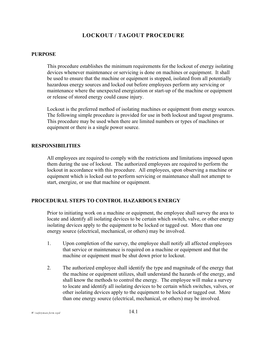# **LOCKOUT / TAGOUT PROCEDURE**

#### **PURPOSE**

This procedure establishes the minimum requirements for the lockout of energy isolating devices whenever maintenance or servicing is done on machines or equipment. It shall be used to ensure that the machine or equipment is stopped, isolated from all potentially hazardous energy sources and locked out before employees perform any servicing or maintenance where the unexpected energization or start-up of the machine or equipment or release of stored energy could cause injury.

Lockout is the preferred method of isolating machines or equipment from energy sources. The following simple procedure is provided for use in both lockout and tagout programs. This procedure may be used when there are limited numbers or types of machines or equipment or there is a single power source.

#### **RESPONSIBILITIES**

All employees are required to comply with the restrictions and limitations imposed upon them during the use of lockout. The authorized employees are required to perform the lockout in accordance with this procedure. All employees, upon observing a machine or equipment which is locked out to perform servicing or maintenance shall not attempt to start, energize, or use that machine or equipment.

#### **PROCEDURAL STEPS TO CONTROL HAZARDOUS ENERGY**

Prior to initiating work on a machine or equipment, the employee shall survey the area to locate and identify all isolating devices to be certain which switch, valve, or other energy isolating devices apply to the equipment to be locked or tagged out. More than one energy source (electrical, mechanical, or others) may be involved.

- 1. Upon completion of the survey, the employee shall notify all affected employees that service or maintenance is required on a machine or equipment and that the machine or equipment must be shut down prior to lockout.
- 2. The authorized employee shall identify the type and magnitude of the energy that the machine or equipment utilizes, shall understand the hazards of the energy, and shall know the methods to control the energy. The employee will make a survey to locate and identify all isolating devices to be certain which switches, valves, or other isolating devices apply to the equipment to be locked or tagged out. More than one energy source (electrical, mechanical, or others) may be involved.

 $W:$ \safetyman.form.wpd  $14.1$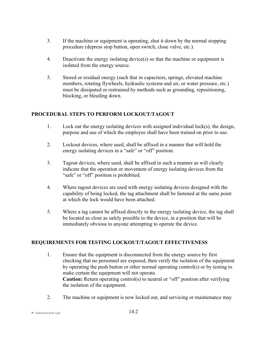- 3. If the machine or equipment is operating, shut it down by the normal stopping procedure (depress stop button, open switch, close valve, etc.).
- 4. Deactivate the energy isolating device(s) so that the machine or equipment is isolated from the energy source.
- 5. Stored or residual energy (such that in capacitors, springs, elevated machine members, rotating flywheels, hydraulic systems and air, or water pressure, etc.) must be dissipated or restrained by methods such as grounding, repositioning, blocking, or bleeding down.

# **PROCEDURAL STEPS TO PERFORM LOCKOUT/TAGOUT**

- 1. Lock out the energy isolating devices with assigned individual lock(s), the design, purpose and use of which the employee shall have been trained on prior to use.
- 2. Lockout devices, where used, shall be affixed in a manner that will hold the energy isolating devices in a "safe" or "off" position.
- 3. Tagout devices, where used, shall be affixed in such a manner as will clearly indicate that the operation or movement of energy isolating devices from the "safe" or "off" position is prohibited.
- 4. Where tagout devices are used with energy isolating devices designed with the capability of being locked, the tag attachment shall be fastened at the same point at which the lock would have been attached.
- 5. Where a tag cannot be affixed directly to the energy isolating device, the tag shall be located as close as safely possible to the device, in a position that will be immediately obvious to anyone attempting to operate the device.

# **REQUIREMENTS FOR TESTING LOCKOUT/TAGOUT EFFECTIVENESS**

- 1. Ensure that the equipment is disconnected from the energy source by first checking that no personnel are exposed, then verify the isolation of the equipment by operating the push button or other normal operating control(s) or by testing to make certain the equipment will not operate. **Caution:** Return operating control(s) to neutral or "off" position after verifying the isolation of the equipment.
- 2. The machine or equipment is now locked out, and servicing or maintenance may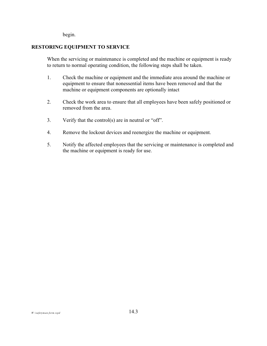begin.

## **RESTORING EQUIPMENT TO SERVICE**

When the servicing or maintenance is completed and the machine or equipment is ready to return to normal operating condition, the following steps shall be taken.

- 1. Check the machine or equipment and the immediate area around the machine or equipment to ensure that nonessential items have been removed and that the machine or equipment components are optionally intact
- 2. Check the work area to ensure that all employees have been safely positioned or removed from the area.
- 3. Verify that the control(s) are in neutral or "off".
- 4. Remove the lockout devices and reenergize the machine or equipment.
- 5. Notify the affected employees that the servicing or maintenance is completed and the machine or equipment is ready for use.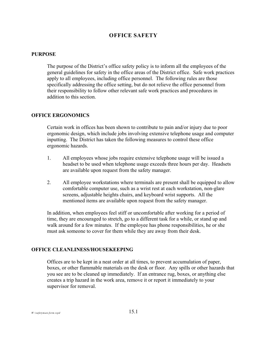# **OFFICE SAFETY**

#### **PURPOSE**

The purpose of the District's office safety policy is to inform all the employees of the general guidelines for safety in the office areas of the District office. Safe work practices apply to all employees, including office personnel. The following rules are those specifically addressing the office setting, but do not relieve the office personnel from their responsibility to follow other relevant safe work practices and procedures in addition to this section.

#### **OFFICE ERGONOMICS**

Certain work in offices has been shown to contribute to pain and/or injury due to poor ergonomic design, which include jobs involving extensive telephone usage and computer inputting. The District has taken the following measures to control these office ergonomic hazards.

- 1. All employees whose jobs require extensive telephone usage will be issued a headset to be used when telephone usage exceeds three hours per day. Headsets are available upon request from the safety manager.
- 2. All employee workstations where terminals are present shall be equipped to allow comfortable computer use, such as a wrist rest at each workstation, non-glare screens, adjustable heights chairs, and keyboard wrist supports. All the mentioned items are available upon request from the safety manager.

In addition, when employees feel stiff or uncomfortable after working for a period of time, they are encouraged to stretch, go to a different task for a while, or stand up and walk around for a few minutes. If the employee has phone responsibilities, he or she must ask someone to cover for them while they are away from their desk.

#### **OFFICE CLEANLINESS/HOUSEKEEPING**

Offices are to be kept in a neat order at all times, to prevent accumulation of paper, boxes, or other flammable materials on the desk or floor. Any spills or other hazards that you see are to be cleaned up immediately. If an entrance rug, boxes, or anything else creates a trip hazard in the work area, remove it or report it immediately to your supervisor for removal.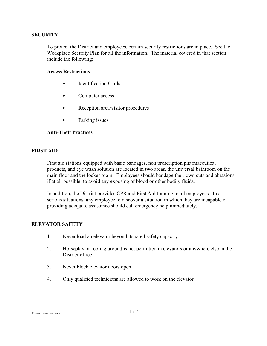#### **SECURITY**

To protect the District and employees, certain security restrictions are in place. See the Workplace Security Plan for all the information. The material covered in that section include the following:

#### **Access Restrictions**

- < Identification Cards
- Computer access
- $\blacktriangleright$  Reception area/visitor procedures
- > Parking issues

### **Anti-Theft Practices**

#### **FIRST AID**

First aid stations equipped with basic bandages, non prescription pharmaceutical products, and eye wash solution are located in two areas, the universal bathroom on the main floor and the locker room. Employees should bandage their own cuts and abrasions if at all possible, to avoid any exposing of blood or other bodily fluids.

In addition, the District provides CPR and First Aid training to all employees. In a serious situations, any employee to discover a situation in which they are incapable of providing adequate assistance should call emergency help immediately.

#### **ELEVATOR SAFETY**

- 1. Never load an elevator beyond its rated safety capacity.
- 2. Horseplay or fooling around is not permitted in elevators or anywhere else in the District office.
- 3. Never block elevator doors open.
- 4. Only qualified technicians are allowed to work on the elevator.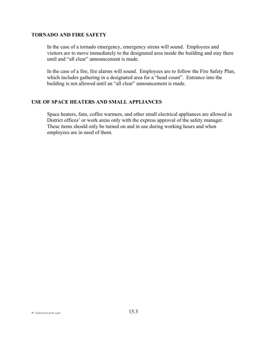#### **TORNADO AND FIRE SAFETY**

In the case of a tornado emergency, emergency sirens will sound. Employees and visitors are to move immediately to the designated area inside the building and stay there until and "all clear" announcement is made.

In the case of a fire, fire alarms will sound. Employees are to follow the Fire Safety Plan, which includes gathering in a designated area for a "head count". Entrance into the building is not allowed until an "all clear" announcement is made.

#### **USE OF SPACE HEATERS AND SMALL APPLIANCES**

Space heaters, fans, coffee warmers, and other small electrical appliances are allowed in District offices' or work areas only with the express approval of the safety manager. These items should only be turned on and in use during working hours and when employees are in need of them.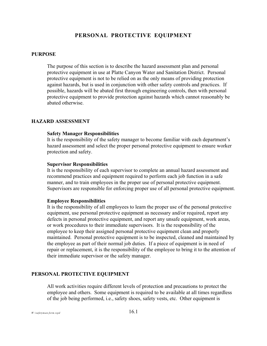## **PERSONAL PROTECTIVE EQUIPMENT**

#### **PURPOSE**

The purpose of this section is to describe the hazard assessment plan and personal protective equipment in use at Platte Canyon Water and Sanitation District. Personal protective equipment is not to be relied on as the only means of providing protection against hazards, but is used in conjunction with other safety controls and practices. If possible, hazards will be abated first through engineering controls, then with personal protective equipment to provide protection against hazards which cannot reasonably be abated otherwise.

#### **HAZARD ASSESSMENT**

#### **Safety Manager Responsibilities**

It is the responsibility of the safety manager to become familiar with each department's hazard assessment and select the proper personal protective equipment to ensure worker protection and safety.

#### **Supervisor Responsibilities**

It is the responsibility of each supervisor to complete an annual hazard assessment and recommend practices and equipment required to perform each job function in a safe manner, and to train employees in the proper use of personal protective equipment. Supervisors are responsible for enforcing proper use of all personal protective equipment.

#### **Employee Responsibilities**

It is the responsibility of all employees to learn the proper use of the personal protective equipment, use personal protective equipment as necessary and/or required, report any defects in personal protective equipment, and report any unsafe equipment, work areas, or work procedures to their immediate supervisors. It is the responsibility of the employee to keep their assigned personal protective equipment clean and properly maintained. Personal protective equipment is to be inspected, cleaned and maintained by the employee as part of their normal job duties. If a piece of equipment is in need of repair or replacement, it is the responsibility of the employee to bring it to the attention of their immediate supervisor or the safety manager.

#### **PERSONAL PROTECTIVE EQUIPMENT**

All work activities require different levels of protection and precautions to protect the employee and others. Some equipment is required to be available at all times regardless of the job being performed, i.e., safety shoes, safety vests, etc. Other equipment is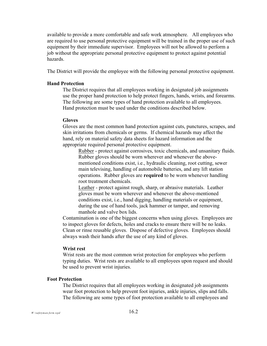available to provide a more comfortable and safe work atmosphere. All employees who are required to use personal protective equipment will be trained in the proper use of such equipment by their immediate supervisor. Employees will not be allowed to perform a job without the appropriate personal protective equipment to protect against potential hazards.

The District will provide the employee with the following personal protective equipment.

#### **Hand Protection**

The District requires that all employees working in designated job assignments use the proper hand protection to help protect fingers, hands, wrists, and forearms. The following are some types of hand protection available to all employees. Hand protection must be used under the conditions described below.

#### **Gloves**

Gloves are the most common hand protection against cuts, punctures, scrapes, and skin irritations from chemicals or germs. If chemical hazards may affect the hand, rely on material safety data sheets for hazard information and the appropriate required personal protective equipment.

Rubber - protect against corrosives, toxic chemicals, and unsanitary fluids. Rubber gloves should be worn wherever and whenever the abovementioned conditions exist, i.e., hydraulic cleaning, root cutting, sewer main televising, handling of automobile batteries, and any lift station operations. Rubber gloves are **required** to be worn whenever handling root treatment chemicals.

Leather - protect against rough, sharp, or abrasive materials. Leather gloves must be worn wherever and whenever the above-mentioned conditions exist, i.e., hand digging, handling materials or equipment, during the use of hand tools, jack hammer or tamper, and removing manhole and valve box lids.

Contamination is one of the biggest concerns when using gloves. Employees are to inspect gloves for defects, holes and cracks to ensure there will be no leaks. Clean or rinse reusable gloves. Dispose of defective gloves. Employees should always wash their hands after the use of any kind of gloves.

#### **Wrist rest**

Wrist rests are the most common wrist protection for employees who perform typing duties. Wrist rests are available to all employees upon request and should be used to prevent wrist injuries.

#### **Foot Protection**

The District requires that all employees working in designated job assignments wear foot protection to help prevent foot injuries, ankle injuries, slips and falls. The following are some types of foot protection available to all employees and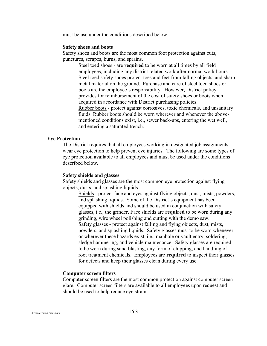must be use under the conditions described below.

#### **Safety shoes and boots**

Safety shoes and boots are the most common foot protection against cuts, punctures, scrapes, burns, and sprains.

Steel toed shoes - are **required** to be worn at all times by all field employees, including any district related work after normal work hours. Steel toed safety shoes protect toes and feet from falling objects, and sharp metal material on the ground. Purchase and care of steel toed shoes or boots are the employee's responsibility. However, District policy provides for reimbursement of the cost of safety shoes or boots when acquired in accordance with District purchasing policies. Rubber boots - protect against corrosives, toxic chemicals, and unsanitary fluids. Rubber boots should be worn wherever and whenever the abovementioned conditions exist, i.e., sewer back-ups, entering the wet well, and entering a saturated trench.

#### **Eye Protection**

The District requires that all employees working in designated job assignments wear eye protection to help prevent eye injuries. The following are some types of eye protection available to all employees and must be used under the conditions described below.

#### **Safety shields and glasses**

Safety shields and glasses are the most common eye protection against flying objects, dusts, and splashing liquids.

Shields - protect face and eyes against flying objects, dust, mists, powders, and splashing liquids. Some of the District's equipment has been equipped with shields and should be used in conjunction with safety glasses, i.e., the grinder. Face shields are **required** to be worn during any grinding, wire wheel polishing and cutting with the demo saw. Safety glasses - protect against falling and flying objects, dust, mists, powders, and splashing liquids. Safety glasses must to be worn whenever or wherever these hazards exist, i.e., manhole or vault entry, soldering, sledge hammering, and vehicle maintenance. Safety glasses are required to be worn during sand blasting, any form of chipping, and handling of root treatment chemicals. Employees are **required** to inspect their glasses for defects and keep their glasses clean during every use.

#### **Computer screen filters**

Computer screen filters are the most common protection against computer screen glare. Computer screen filters are available to all employees upon request and should be used to help reduce eye strain.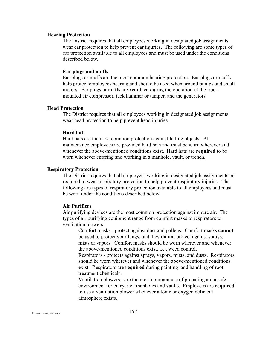#### **Hearing Protection**

The District requires that all employees working in designated job assignments wear ear protection to help prevent ear injuries. The following are some types of ear protection available to all employees and must be used under the conditions described below.

#### **Ear plugs and muffs**

Ear plugs or muffs are the most common hearing protection. Ear plugs or muffs help protect employees hearing and should be used when around pumps and small motors. Ear plugs or muffs are **required** during the operation of the truck mounted air compressor, jack hammer or tamper, and the generators.

#### **Head Protection**

The District requires that all employees working in designated job assignments wear head protection to help prevent head injuries.

#### **Hard hat**

Hard hats are the most common protection against falling objects. All maintenance employees are provided hard hats and must be worn wherever and whenever the above-mentioned conditions exist. Hard hats are **required** to be worn whenever entering and working in a manhole, vault, or trench.

#### **Respiratory Protection**

The District requires that all employees working in designated job assignments be required to wear respiratory protection to help prevent respiratory injuries. The following are types of respiratory protection available to all employees and must be worn under the conditions described below.

#### **Air Purifiers**

Air purifying devices are the most common protection against impure air. The types of air purifying equipment range from comfort masks to respirators to ventilation blowers.

Comfort masks - protect against dust and pollens. Comfort masks **cannot** be used to protect your lungs, and they **do not** protect against sprays, mists or vapors. Comfort masks should be worn wherever and whenever the above-mentioned conditions exist, i.e., weed control.

Respirators - protects against sprays, vapors, mists, and dusts. Respirators should be worn wherever and whenever the above-mentioned conditions exist. Respirators are **required** during painting and handling of root treatment chemicals.

Ventilation blowers - are the most common use of preparing an unsafe environment for entry, i.e., manholes and vaults. Employees are **required** to use a ventilation blower whenever a toxic or oxygen deficient atmosphere exists.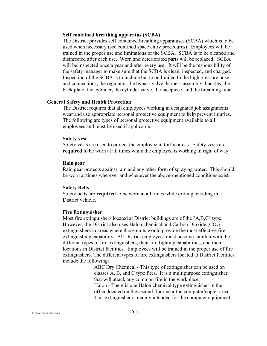#### **Self contained breathing apparatus (SCBA)**

The District provides self contained breathing apparatuses (SCBA) which is to be used when necessary (see confined space entry procedures). Employees will be trained in the proper use and limitations of the SCBA. SCBA is to be cleaned and disinfected after each use. Worn and deteriorated parts will be replaced. SCBA will be inspected once a year and after every use. It will be the responsibility of the safety manager to make sure that the SCBA is clean, inspected, and charged. Inspection of the SCBA is to include but to be limited to the high pressure hose and connections, the regulator, the bypass valve, harness assembly, buckles, the back plate, the cylinder, the cylinder valve, the facepiece, and the breathing tube.

#### **General Safety and Health Protection**

The District requires that all employees working in designated job assignments wear and use appropriate personal protective equipment to help prevent injuries. The following are types of personal protective equipment available to all employees and must be used if applicable.

#### **Safety vest**

Safety vests are used to protect the employee in traffic areas. Safety vests are **required** to be worn at all times while the employee is working in right of way.

#### **Rain gear**

Rain gear protects against rain and any other form of spraying water. This should be worn at times wherever and whenever the above-mentioned conditions exist.

#### **Safety Belts**

Safety belts are **required** to be worn at all times while driving or riding in a District vehicle.

#### **Fire Extinguisher**

Most fire extinguishers located at District buildings are of the "A,B,C" type. However, the District also uses Halon chemical and Carbon Dioxide  $(CO_2)$ extinguishers in areas where those units would provide the most effective fire extinguishing capability. All District employees must become familiar with the different types of fire extinguishers, their fire fighting capabilities, and their locations in District facilities. Employees will be trained in the proper use of fire extinguishers. The different types of fire extinguishers located at District facilities include the following:

> ABC Dry Chemical - This type of extinguisher can be used on classes A, B, and C type fires. It is a multipurpose extinguisher that will attack any common fire in the workplace. Halon - There is one Halon chemical type extinguisher in the office located on the second floor near the computer/copier area. This extinguisher is mainly intended for the computer equipment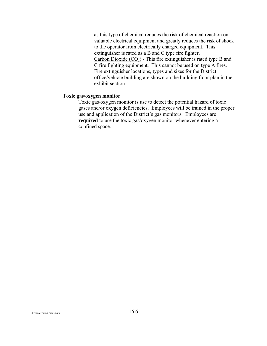as this type of chemical reduces the risk of chemical reaction on valuable electrical equipment and greatly reduces the risk of shock to the operator from electrically charged equipment. This extinguisher is rated as a B and C type fire fighter. Carbon Dioxide  $(CO<sub>2</sub>)$  - This fire extinguisher is rated type B and C fire fighting equipment. This cannot be used on type A fires. Fire extinguisher locations, types and sizes for the District office/vehicle building are shown on the building floor plan in the exhibit section.

#### **Toxic gas/oxygen monitor**

Toxic gas/oxygen monitor is use to detect the potential hazard of toxic gases and/or oxygen deficiencies. Employees will be trained in the proper use and application of the District's gas monitors. Employees are **required** to use the toxic gas/oxygen monitor whenever entering a confined space.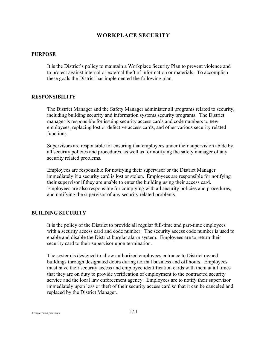## **WORKPLACE SECURITY**

#### **PURPOSE**

It is the District's policy to maintain a Workplace Security Plan to prevent violence and to protect against internal or external theft of information or materials. To accomplish these goals the District has implemented the following plan.

#### **RESPONSIBILITY**

The District Manager and the Safety Manager administer all programs related to security, including building security and information systems security programs. The District manager is responsible for issuing security access cards and code numbers to new employees, replacing lost or defective access cards, and other various security related functions.

Supervisors are responsible for ensuring that employees under their supervision abide by all security policies and procedures, as well as for notifying the safety manager of any security related problems.

Employees are responsible for notifying their supervisor or the District Manager immediately if a security card is lost or stolen. Employees are responsible for notifying their supervisor if they are unable to enter the building using their access card. Employees are also responsible for complying with all security policies and procedures, and notifying the supervisor of any security related problems.

#### **BUILDING SECURITY**

It is the policy of the District to provide all regular full-time and part-time employees with a security access card and code number. The security access code number is used to enable and disable the District burglar alarm system. Employees are to return their security card to their supervisor upon termination.

The system is designed to allow authorized employees entrance to District owned buildings through designated doors during normal business and off hours. Employees must have their security access and employee identification cards with them at all times that they are on duty to provide verification of employment to the contracted security service and the local law enforcement agency. Employees are to notify their supervisor immediately upon loss or theft of their security access card so that it can be canceled and replaced by the District Manager.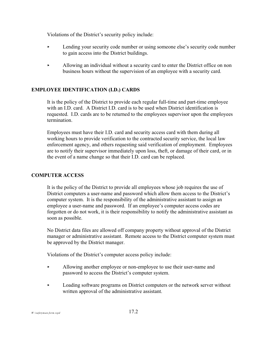Violations of the District's security policy include:

- < Lending your security code number or using someone else's security code number to gain access into the District buildings.
- < Allowing an individual without a security card to enter the District office on non business hours without the supervision of an employee with a security card.

## **EMPLOYEE IDENTIFICATION (I.D.) CARDS**

It is the policy of the District to provide each regular full-time and part-time employee with an I.D. card. A District I.D. card is to be used when District identification is requested. I.D. cards are to be returned to the employees supervisor upon the employees termination.

Employees must have their I.D. card and security access card with them during all working hours to provide verification to the contracted security service, the local law enforcement agency, and others requesting said verification of employment. Employees are to notify their supervisor immediately upon loss, theft, or damage of their card, or in the event of a name change so that their I.D. card can be replaced.

## **COMPUTER ACCESS**

It is the policy of the District to provide all employees whose job requires the use of District computers a user-name and password which allow them access to the District's computer system. It is the responsibility of the administrative assistant to assign an employee a user-name and password. If an employee's computer access codes are forgotten or do not work, it is their responsibility to notify the administrative assistant as soon as possible.

No District data files are allowed off company property without approval of the District manager or administrative assistant. Remote access to the District computer system must be approved by the District manager.

Violations of the District's computer access policy include:

- < Allowing another employee or non-employee to use their user-name and password to access the District's computer system.
- Loading software programs on District computers or the network server without written approval of the administrative assistant.

*W:\safetyman.form.wpd* 17.2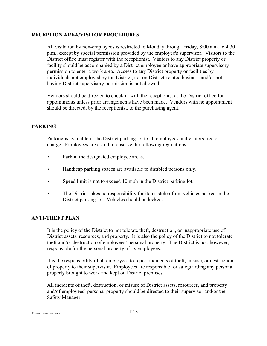#### **RECEPTION AREA/VISITOR PROCEDURES**

All visitation by non-employees is restricted to Monday through Friday, 8:00 a.m. to 4:30 p.m., except by special permission provided by the employee's supervisor. Visitors to the District office must register with the receptionist. Visitors to any District property or facility should be accompanied by a District employee or have appropriate supervisory permission to enter a work area. Access to any District property or facilities by individuals not employed by the District, not on District-related business and/or not having District supervisory permission is not allowed.

Vendors should be directed to check in with the receptionist at the District office for appointments unless prior arrangements have been made. Vendors with no appointment should be directed, by the receptionist, to the purchasing agent.

## **PARKING**

Parking is available in the District parking lot to all employees and visitors free of charge. Employees are asked to observe the following regulations.

- Park in the designated employee areas.
- $\blacktriangleright$  Handicap parking spaces are available to disabled persons only.
- $\triangleright$  Speed limit is not to exceed 10 mph in the District parking lot.
- $\blacktriangleright$  The District takes no responsibility for items stolen from vehicles parked in the District parking lot. Vehicles should be locked.

#### **ANTI-THEFT PLAN**

It is the policy of the District to not tolerate theft, destruction, or inappropriate use of District assets, resources, and property. It is also the policy of the District to not tolerate theft and/or destruction of employees' personal property. The District is not, however, responsible for the personal property of its employees.

It is the responsibility of all employees to report incidents of theft, misuse, or destruction of property to their supervisor. Employees are responsible for safeguarding any personal property brought to work and kept on District premises.

All incidents of theft, destruction, or misuse of District assets, resources, and property and/of employees' personal property should be directed to their supervisor and/or the Safety Manager.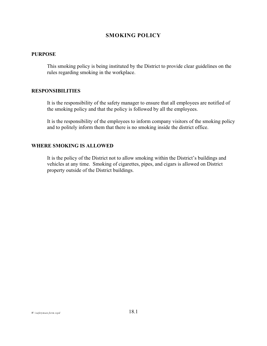# **SMOKING POLICY**

#### **PURPOSE**

This smoking policy is being instituted by the District to provide clear guidelines on the rules regarding smoking in the workplace.

#### **RESPONSIBILITIES**

It is the responsibility of the safety manager to ensure that all employees are notified of the smoking policy and that the policy is followed by all the employees.

It is the responsibility of the employees to inform company visitors of the smoking policy and to politely inform them that there is no smoking inside the district office.

#### **WHERE SMOKING IS ALLOWED**

It is the policy of the District not to allow smoking within the District's buildings and vehicles at any time. Smoking of cigarettes, pipes, and cigars is allowed on District property outside of the District buildings.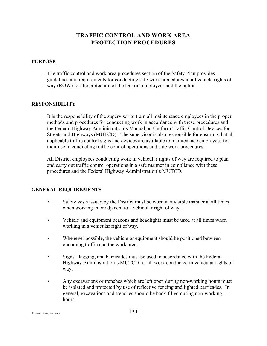# **TRAFFIC CONTROL AND WORK AREA PROTECTION PROCEDURES**

#### **PURPOSE**

The traffic control and work area procedures section of the Safety Plan provides guidelines and requirements for conducting safe work procedures in all vehicle rights of way (ROW) for the protection of the District employees and the public.

#### **RESPONSIBILITY**

It is the responsibility of the supervisor to train all maintenance employees in the proper methods and procedures for conducting work in accordance with these procedures and the Federal Highway Administration's Manual on Uniform Traffic Control Devices for Streets and Highways (MUTCD). The supervisor is also responsible for ensuring that all applicable traffic control signs and devices are available to maintenance employees for their use in conducting traffic control operations and safe work procedures.

All District employees conducting work in vehicular rights of way are required to plan and carry out traffic control operations in a safe manner in compliance with these procedures and the Federal Highway Administration's MUTCD.

#### **GENERAL REQUIREMENTS**

- $\triangleright$  Safety vests issued by the District must be worn in a visible manner at all times when working in or adjacent to a vehicular right of way.
- Vehicle and equipment beacons and headlights must be used at all times when working in a vehicular right of way.
- $\blacktriangleright$  Whenever possible, the vehicle or equipment should be positioned between oncoming traffic and the work area.
- < Signs, flagging, and barricades must be used in accordance with the Federal Highway Administration's MUTCD for all work conducted in vehicular rights of way.
- Any excavations or trenches which are left open during non-working hours must be isolated and protected by use of reflective fencing and lighted barricades. In general, excavations and trenches should be back-filled during non-working hours.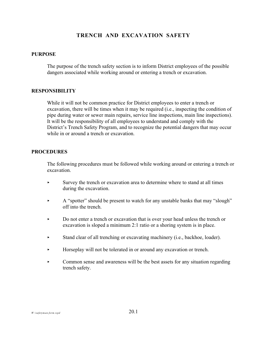# **TRENCH AND EXCAVATION SAFETY**

#### **PURPOSE**

The purpose of the trench safety section is to inform District employees of the possible dangers associated while working around or entering a trench or excavation.

#### **RESPONSIBILITY**

While it will not be common practice for District employees to enter a trench or excavation, there will be times when it may be required (i.e., inspecting the condition of pipe during water or sewer main repairs, service line inspections, main line inspections). It will be the responsibility of all employees to understand and comply with the District's Trench Safety Program, and to recognize the potential dangers that may occur while in or around a trench or excavation.

#### **PROCEDURES**

The following procedures must be followed while working around or entering a trench or excavation.

- < Survey the trench or excavation area to determine where to stand at all times during the excavation.
- A "spotter" should be present to watch for any unstable banks that may "slough" off into the trench.
- < Do not enter a trench or excavation that is over your head unless the trench or excavation is sloped a minimum 2:1 ratio or a shoring system is in place.
- Stand clear of all trenching or excavating machinery (i.e., backhoe, loader).
- < Horseplay will not be tolerated in or around any excavation or trench.
- $\triangleright$  Common sense and awareness will be the best assets for any situation regarding trench safety.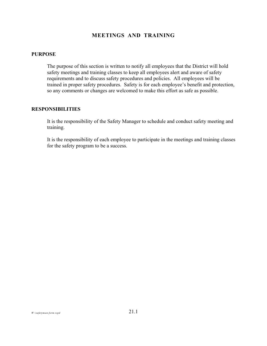# **MEETINGS AND TRAINING**

#### **PURPOSE**

The purpose of this section is written to notify all employees that the District will hold safety meetings and training classes to keep all employees alert and aware of safety requirements and to discuss safety procedures and policies. All employees will be trained in proper safety procedures. Safety is for each employee's benefit and protection, so any comments or changes are welcomed to make this effort as safe as possible.

#### **RESPONSIBILITIES**

It is the responsibility of the Safety Manager to schedule and conduct safety meeting and training.

It is the responsibility of each employee to participate in the meetings and training classes for the safety program to be a success.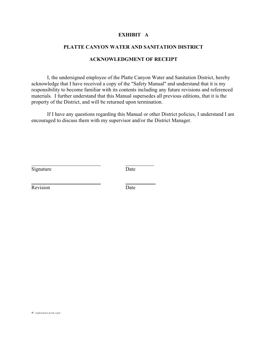#### **EXHIBIT A**

#### **PLATTE CANYON WATER AND SANITATION DISTRICT**

#### **ACKNOWLEDGMENT OF RECEIPT**

I, the undersigned employee of the Platte Canyon Water and Sanitation District, hereby acknowledge that I have received a copy of the "Safety Manual" and understand that it is my responsibility to become familiar with its contents including any future revisions and referenced materials. I further understand that this Manual supersedes all previous editions, that it is the property of the District, and will be returned upon termination.

If I have any questions regarding this Manual or other District policies, I understand I am encouraged to discuss them with my supervisor and/or the District Manager.

Signature Date

l

l

Revision Date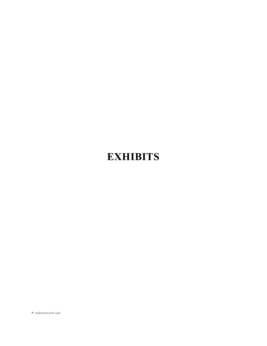# **EXHIBITS**

*W:\safetyman.form.wpd*